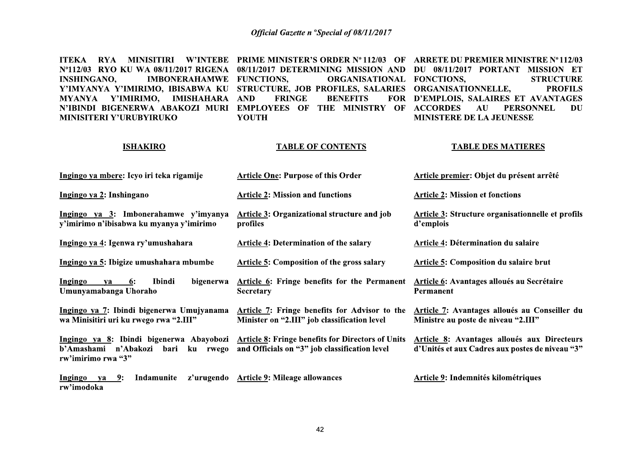ITEKA RYA MINISITIRI W'INTEBE PRIME\_MINISTER'S\_ORDER\_Nº112/03 OF ARRETE\_DU\_PREMIER\_MINISTRE\_Nº112/03 Nº112/03 RYO KU WA 08/11/2017 RIGENA 08/11/2017 DETERMINING MISSION AND DU 08/11/2017 PORTANT MISSION ET **IMBONERAHAMWE FUNCTIONS. STRUCTURE INSHINGANO,** ORGANISATIONAL FONCTIONS. Y'IMYANYA Y'IMIRIMO, IBISABWA KU STRUCTURE, JOB PROFILES, SALARIES ORGANISATIONNELLE, **PROFILS FRINGE BENEFITS** FOR D'EMPLOIS, SALAIRES ET AVANTAGES MYANYA Y'IMIRIMO, IMISHAHARA AND N'IBINDI BIGENERWA ABAKOZI MURI EMPLOYEES OF THE MINISTRY OF ACCORDES  $AU$ **PERSONNEL** DU **MINISITERI Y'URUBYIRUKO YOUTH MINISTERE DE LA JEUNESSE** 

### **ISHAKIRO**

### **TABLE OF CONTENTS**

### **TABLE DES MATIERES**

| Ingingo ya mbere: Icyo iri teka rigamije                                                                                                 | <b>Article One: Purpose of this Order</b>                                                     | Article premier: Objet du présent arrêté                                                              |  |  |
|------------------------------------------------------------------------------------------------------------------------------------------|-----------------------------------------------------------------------------------------------|-------------------------------------------------------------------------------------------------------|--|--|
| Ingingo ya 2: Inshingano                                                                                                                 | <b>Article 2: Mission and functions</b>                                                       | <b>Article 2: Mission et fonctions</b>                                                                |  |  |
| Ingingo ya 3: Imbonerahamwe y'imyanya<br>y'imirimo n'ibisabwa ku myanya y'imirimo                                                        | Article 3: Organizational structure and job<br>profiles                                       | Article 3: Structure organisationnelle et profils<br>d'emplois                                        |  |  |
| Ingingo ya 4: Igenwa ry'umushahara                                                                                                       | <b>Article 4: Determination of the salary</b>                                                 | Article 4: Détermination du salaire                                                                   |  |  |
| Ingingo ya 5: Ibigize umushahara mbumbe                                                                                                  | <b>Article 5: Composition of the gross salary</b>                                             | <b>Article 5: Composition du salaire brut</b>                                                         |  |  |
| Ingingo<br>Ibindi<br>bigenerwa<br>6:<br>va<br>Umunyamabanga Uhoraho                                                                      | Article 6: Fringe benefits for the Permanent<br><b>Secretary</b>                              | Article 6: Avantages alloués au Secrétaire<br>Permanent                                               |  |  |
| Ingingo ya 7: Ibindi bigenerwa Umujyanama<br>wa Minisitiri uri ku rwego rwa "2.III"                                                      | Article 7: Fringe benefits for Advisor to the<br>Minister on "2.III" job classification level | Article 7: Avantages alloués au Conseiller du<br>Ministre au poste de niveau "2.III"                  |  |  |
| Ingingo ya 8: Ibindi bigenerwa Abayobozi Article 8: Fringe benefits for Directors of Units<br>b'Amashami n'Abakozi<br>rw'imirimo rwa "3" | bari ku rwego and Officials on "3" job classification level                                   | <b>Article 8: Avantages alloués aux Directeurs</b><br>d'Unités et aux Cadres aux postes de niveau "3" |  |  |
| Ingingo<br><u>9</u> :<br>Indamunite<br>ya<br>rw'imodoka                                                                                  | z'urugendo Article 9: Mileage allowances                                                      | Article 9: Indemnités kilométriques                                                                   |  |  |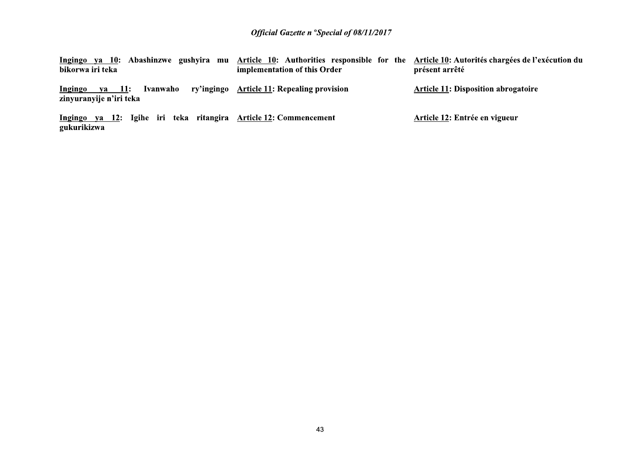| gushyira mu<br>Abashinzwe<br>va 10:<br><b>Ingingo</b><br>bikorwa iri teka       | Article 10: Authorities responsible for the Article 10: Autorités chargées de l'exécution du<br>implementation of this Order | présent arrêté                             |
|---------------------------------------------------------------------------------|------------------------------------------------------------------------------------------------------------------------------|--------------------------------------------|
| va 11:<br>Ivanwaho<br><u>Ingingo</u><br>zinyuranyije n'iri teka                 | ry'ingingo Article 11: Repealing provision                                                                                   | <b>Article 11: Disposition abrogatoire</b> |
| Ingingo ya 12: Igihe iri teka ritangira Article 12: Commencement<br>gukurikizwa |                                                                                                                              | Article 12: Entrée en vigueur              |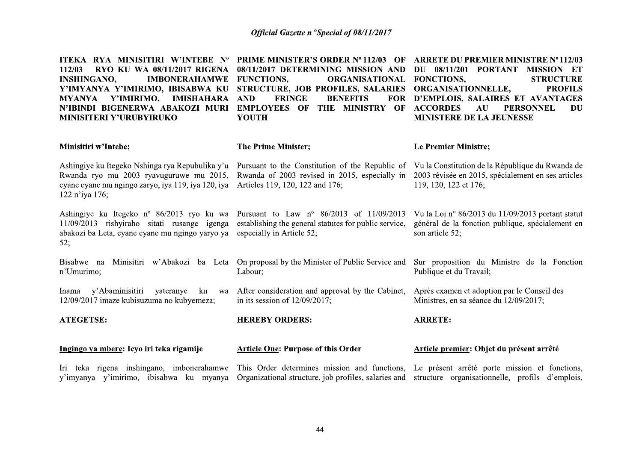| ITEKA RYA MINISITIRI W'INTEBE Nº<br>112/03<br>RYO KU WA 08/11/2017 RIGENA<br><b>INSHINGANO,</b><br><b>IMBONERAHAMWE</b><br>Y'IMYANYA Y'IMIRIMO, IBISABWA KU<br>MYANYA Y'IMIRIMO,<br><b>IMISHAHARA</b><br>N'IBINDI BIGENERWA ABAKOZI MURI<br>MINISITERI Y'URUBYIRUKO | <b>PRIME MINISTER'S ORDER Nº 112/03 OF</b><br>08/11/2017 DETERMINING MISSION AND<br><b>FUNCTIONS,</b><br><b>ORGANISATIONAL</b><br>STRUCTURE, JOB PROFILES, SALARIES<br><b>FRINGE</b><br><b>BENEFITS</b><br><b>FOR</b><br><b>AND</b><br><b>EMPLOYEES OF</b><br>THE MINISTRY OF<br><b>YOUTH</b> | <b>ARRETE DU PREMIER MINISTRE Nº 112/03</b><br>DU 08/11/201 PORTANT MISSION ET<br>FONCTIONS,<br><b>STRUCTURE</b><br><b>ORGANISATIONNELLE,</b><br><b>PROFILS</b><br>D'EMPLOIS, SALAIRES ET AVANTAGES<br><b>ACCORDES</b><br><b>PERSONNEL</b><br>AU<br>DU<br><b>MINISTERE DE LA JEUNESSE</b> |  |
|---------------------------------------------------------------------------------------------------------------------------------------------------------------------------------------------------------------------------------------------------------------------|-----------------------------------------------------------------------------------------------------------------------------------------------------------------------------------------------------------------------------------------------------------------------------------------------|-------------------------------------------------------------------------------------------------------------------------------------------------------------------------------------------------------------------------------------------------------------------------------------------|--|
| <b>Minisitiri w'Intebe;</b>                                                                                                                                                                                                                                         | <b>The Prime Minister;</b>                                                                                                                                                                                                                                                                    | Le Premier Ministre;                                                                                                                                                                                                                                                                      |  |
| Ashingiye ku Itegeko Nshinga rya Repubulika y'u<br>Rwanda ryo mu 2003 ryavuguruwe mu 2015,<br>cyane cyane mu ngingo zaryo, iya 119, iya 120, iya<br>122 n'iya 176;                                                                                                  | Pursuant to the Constitution of the Republic of<br>Rwanda of 2003 revised in 2015, especially in<br>Articles 119, 120, 122 and 176;                                                                                                                                                           | Vu la Constitution de la République du Rwanda de<br>2003 révisée en 2015, spécialement en ses articles<br>119, 120, 122 et 176;                                                                                                                                                           |  |
| Ashingiye ku Itegeko nº 86/2013 ryo ku wa<br>11/09/2013 rishyiraho sitati rusange igenga<br>abakozi ba Leta, cyane cyane mu ngingo yaryo ya<br>52;                                                                                                                  | Pursuant to Law $n^{\circ}$ 86/2013 of 11/09/2013<br>establishing the general statutes for public service,<br>especially in Article 52;                                                                                                                                                       | Vu la Loi nº 86/2013 du 11/09/2013 portant statut<br>général de la fonction publique, spécialement en<br>son article 52;                                                                                                                                                                  |  |
| Bisabwe na<br>Minisitiri w'Abakozi<br>ba Leta<br>n'Umurimo;                                                                                                                                                                                                         | On proposal by the Minister of Public Service and<br>Labour;                                                                                                                                                                                                                                  | Sur proposition du Ministre de la Fonction<br>Publique et du Travail;                                                                                                                                                                                                                     |  |
| y'Abaminisitiri<br>yateranye<br>Inama<br>ku<br>12/09/2017 imaze kubisuzuma no kubyemeza;                                                                                                                                                                            | wa After consideration and approval by the Cabinet,<br>in its session of $12/09/2017$ ;                                                                                                                                                                                                       | Après examen et adoption par le Conseil des<br>Ministres, en sa séance du 12/09/2017;                                                                                                                                                                                                     |  |
| <b>ATEGETSE:</b>                                                                                                                                                                                                                                                    | <b>HEREBY ORDERS:</b>                                                                                                                                                                                                                                                                         | <b>ARRETE:</b>                                                                                                                                                                                                                                                                            |  |
| Ingingo ya mbere: Icyo iri teka rigamije                                                                                                                                                                                                                            | <b>Article One: Purpose of this Order</b>                                                                                                                                                                                                                                                     | Article premier: Objet du présent arrêté                                                                                                                                                                                                                                                  |  |
| Iri teka rigena inshingano, imbonerahamwe<br>y'imyanya y'imirimo, ibisabwa ku myanya                                                                                                                                                                                | This Order determines mission and functions, Le présent arrêté porte mission et fonctions,<br>Organizational structure, job profiles, salaries and                                                                                                                                            | structure organisationnelle, profils d'emplois,                                                                                                                                                                                                                                           |  |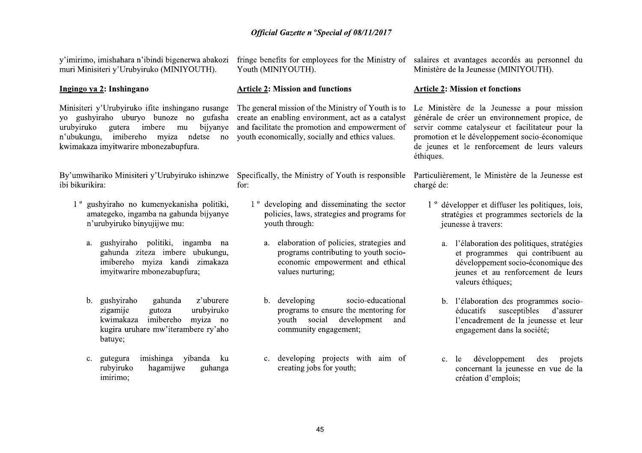y'imirimo, imishahara n'ibindi bigenerwa abakozi muri Minisiteri y'Urubyiruko (MINIYOUTH).

### Ingingo ya 2: Inshingano

Minisiteri y'Urubyiruko ifite inshingano rusange yo gushyiraho uburyo bunoze no gufasha create an enabling environment, act as a catalyst urubviruko n'ubukungu, imibereho myiza ndetse no youth-economically socially and ethics values. kwimakaza imvitwarire mbonezabupfura.

ibi bikurikira:

- 1<sup>°</sup> gushviraho no kumenyekanisha politiki, amategeko, ingamba na gahunda bijyanye n'urubyiruko binyujijwe mu:
	- a. gushyiraho politiki, ingamba na gahunda ziteza imbere ubukungu. imibereho myiza kandi zimakaza imyitwarire mbonezabupfura;
	- gushyiraho z'uburere  $\mathbf{b}$ . gahunda urubyiruko zigamije gutoza kwimakaza imibereho myiza no kugira uruhare mw'iterambere ry'aho batuye;
	- imishinga vibanda ku  $c_{\cdot}$ gutegura rubyiruko hagamijwe guhanga imirimo:

fringe benefits for employees for the Ministry of salaires et avantages accordés au personnel du Youth (MINIYOUTH).

### **Article 2: Mission and functions**

The general mission of the Ministry of Youth is to gutera imbere mu bijvanye and facilitate the promotion and empowerment of

for:

- 1<sup>°</sup> developing and disseminating the sector policies, laws, strategies and programs for youth through:
	- a. elaboration of policies, strategies and programs contributing to youth socioeconomic empowerment and ethical values nurturing;
	- b. developing socio-educational programs to ensure the mentoring for youth social development and community engagement;
	- c. developing projects with aim of creating jobs for youth;

Ministère de la Jeunesse (MINIYOUTH).

### **Article 2: Mission et fonctions**

Le Ministère de la Jeunesse a pour mission générale de créer un environnement propice, de servir comme catalyseur et facilitateur pour la promotion et le développement socio-économique de jeunes et le renforcement de leurs valeurs éthiques.

By'umwihariko Minisiteri y'Urubyiruko ishinzwe Specifically, the Ministry of Youth is responsible Particulièrement, le Ministère de la Jeunesse est chargé de:

- 1<sup>°</sup> développer et diffuser les politiques, lois, stratégies et programmes sectoriels de la jeunesse à travers:
	- a. l'élaboration des politiques, stratégies et programmes qui contribuent au développement socio-économique des jeunes et au renforcement de leurs valeurs éthiques;
	- b. l'élaboration des programmes socioéducatifs susceptibles d'assurer l'encadrement de la jeunesse et leur engagement dans la société;
	- c. le développement des projets concernant la jeunesse en vue de la création d'emplois;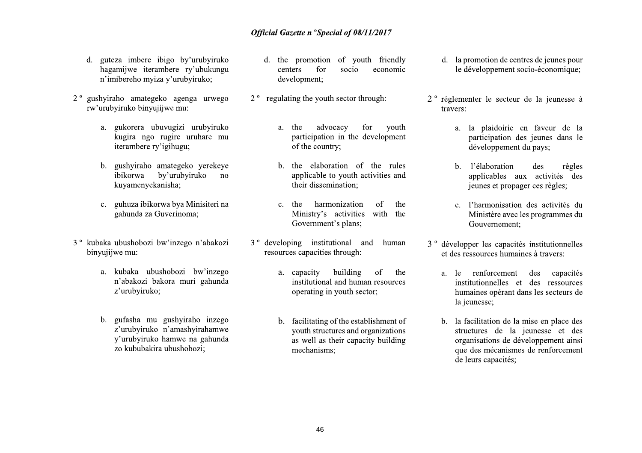- d. guteza imbere ibigo by'urubyiruko hagamijwe iterambere ry'ubukungu n'imibereho myiza y'urubyiruko;
- 2<sup>°</sup> gushyiraho amategeko agenga urwego rw'urubyiruko binyujijwe mu:
	- a. gukorera ubuvugizi urubviruko kugira ngo rugire uruhare mu iterambere ry'igihugu:
	- b. gushyiraho amategeko yerekeye by'urubyiruko ibikorwa  $n<sub>0</sub>$ kuyamenyekanisha;
	- c. guhuza ibikorwa bya Minisiteri na gahunda za Guverinoma;
- 3<sup>°</sup> kubaka ubushobozi bw'inzego n'abakozi binyujijwe mu:
	- a. kubaka ubushobozi bw'inzego n'abakozi bakora muri gahunda z'urubyiruko;
	- b. gufasha mu gushyiraho inzego z'urubyiruko n'amashyirahamwe y'urubyiruko hamwe na gahunda zo kububakira ubushobozi;
- d. the promotion of youth friendly centers for socio economic development;
- 2<sup>°</sup> regulating the youth sector through:
	- a. the advocacy for vouth participation in the development of the country;
	- b. the elaboration of the rules applicable to youth activities and their dissemination;
	- harmonization of the c. the Ministry's activities with the Government's plans;
- 3<sup>°</sup> developing institutional and human resources capacities through:
	- building a. capacity  $\alpha$ f the institutional and human resources operating in youth sector;
	- b. facilitating of the establishment of youth structures and organizations as well as their capacity building mechanisms:
- d. la promotion de centres de jeunes pour le développement socio-économique;
- 2<sup>°</sup> réglementer le secteur de la jeunesse à travers:
	- a. la plaidoirie en faveur de la participation des jeunes dans le développement du pays;
	- b. l'élaboration des règles applicables aux activités des jeunes et propager ces règles;
	- c. l'harmonisation des activités du Ministère avec les programmes du Gouvernement:
- 3<sup>°</sup> développer les capacités institutionnelles et des ressources humaines à travers:
	- a. le renforcement des capacités institutionnelles et des ressources humaines opérant dans les secteurs de la jeunesse;
	- b. la facilitation de la mise en place des structures de la jeunesse et des organisations de développement ainsi que des mécanismes de renforcement de leurs capacités;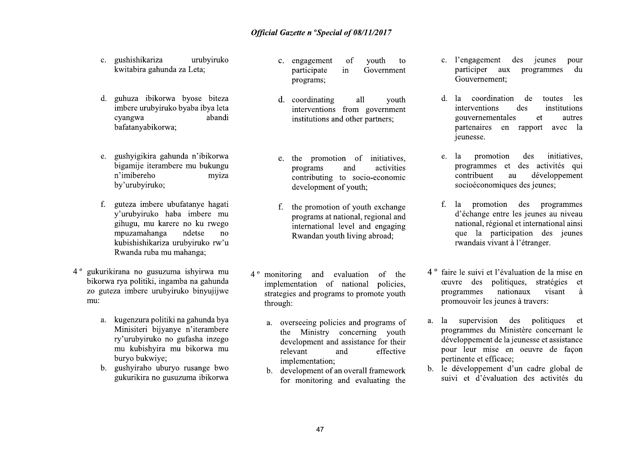- c. gushishikariza urubviruko kwitabira gahunda za Leta;
- d. guhuza ibikorwa byose biteza imbere urubyiruko byaba ibya leta abandi cyangwa bafatanyabikorwa:
- e. gushyigikira gahunda n'ibikorwa bigamiie iterambere mu bukungu n'imibereho mviza by'urubyiruko;
- f. guteza imbere ubufatanye hagati v'urubyiruko haba imbere mu gihugu, mu karere no ku rwego mpuzamahanga ndetse no kubishishikariza urubyiruko rw'u Rwanda ruba mu mahanga:
- 4<sup>°</sup> gukurikirana no gusuzuma ishyirwa mu bikorwa rya politiki, ingamba na gahunda zo guteza imbere urubyiruko binyujijwe mu:
	- a. kugenzura politiki na gahunda bya Minisiteri bijvanye n'iterambere ry'urubyiruko no gufasha inzego mu kubishyira mu bikorwa mu buryo bukwiye:
	- b. gushyiraho uburyo rusange bwo gukurikira no gusuzuma ibikorwa
- vouth c. engagement <sub>of</sub> to participate in Government programs;
- d. coordinating all vouth interventions from government institutions and other partners;
- e. the promotion of initiatives, programs and activities contributing to socio-economic development of youth;
- the promotion of youth exchange  $f_{\cdot}$ programs at national, regional and international level and engaging Rwandan youth living abroad;
- 4<sup>°</sup> monitoring and evaluation of the implementation of national policies, strategies and programs to promote youth through:
	- a. overseeing policies and programs of the Ministry concerning youth development and assistance for their relevant and effective implementation;
	- development of an overall framework  $b_{-}$ for monitoring and evaluating the
- c. l'engagement des jeunes pour participer aux programmes du Gouvernement;
- d. la coordination de les toutes interventions des institutions gouvernementales et autres partenaires en rapport avec la jeunesse.
- promotion initiatives. e. la des programmes et des activités qui contribuent au développement socioéconomiques des jeunes;
- la promotion des programmes  $f_{\cdot}$ d'échange entre les jeunes au niveau national, régional et international ainsi que la participation des jeunes rwandais vivant à l'étranger.
- 4<sup>°</sup> faire le suivi et l'évaluation de la mise en ceuvre des politiques, stratégies et programmes nationaux visant à promouvoir les jeunes à travers:
- a. la supervision des politiques et programmes du Ministère concernant le développement de la jeunesse et assistance pour leur mise en oeuvre de facon pertinente et efficace;
- b. le développement d'un cadre global de suivi et d'évaluation des activités du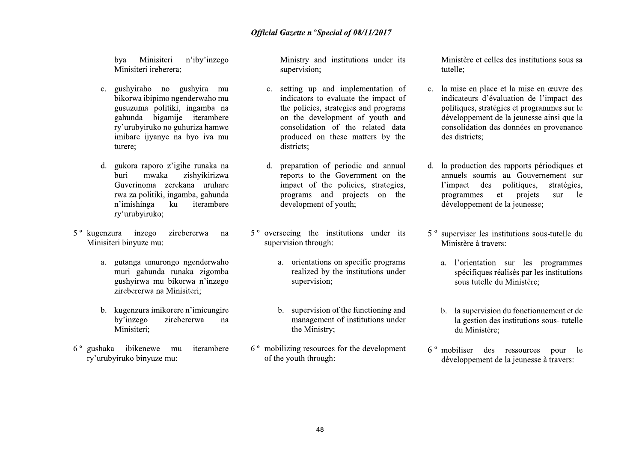bya Minisiteri n'iby'inzego Minisiteri ireberera;

- c. gushyiraho no gushyira mu bikorwa ibipimo ngenderwaho mu gusuzuma politiki, ingamba na gahunda bigamiie iterambere ry'urubyiruko no guhuriza hamwe imibare ijyanye na byo iya mu turere:
- d. gukora raporo z'igihe runaka na zishvikirizwa **buri** mwaka Guverinoma zerekana uruhare rwa za politiki, ingamba, gahunda n'imishinga ku iterambere ry'urubyiruko;
- 5<sup>°</sup> kugenzura inzego zirebererwa na Minisiteri binyuze mu:
	- a. gutanga umurongo ngenderwaho muri gahunda runaka zigomba gushyirwa mu bikorwa n'inzego zirebererwa na Minisiteri;
	- b. kugenzura imikorere n'imicungire by'inzego zirebererwa na Minisiteri:
- 6° gushaka ibikenewe mu iterambere ry'urubyiruko binyuze mu:

Ministry and institutions under its supervision;

- setting up and implementation of  $c_{\cdot}$ indicators to evaluate the impact of the policies, strategies and programs on the development of youth and consolidation of the related data produced on these matters by the districts:
- d. preparation of periodic and annual reports to the Government on the impact of the policies, strategies, programs and projects on the development of youth:
- $5^{\circ}$  overseeing the institutions under its supervision through:
	- a. orientations on specific programs realized by the institutions under supervision;
	- b. supervision of the functioning and management of institutions under the Ministry;
- $6^{\circ}$  mobilizing resources for the development of the youth through:

Ministère et celles des institutions sous sa tutelle:

- c. la mise en place et la mise en œuvre des indicateurs d'évaluation de l'impact des politiques, stratégies et programmes sur le développement de la jeunesse ainsi que la consolidation des données en provenance des districts:
- d. la production des rapports périodiques et annuels soumis au Gouvernement sur l'impact des politiques, stratégies. programmes et projets sur -le développement de la jeunesse:
- 5<sup>°</sup> superviser les institutions sous-tutelle du Ministère à travers:
	- a. l'orientation sur les programmes spécifiques réalisés par les institutions sous tutelle du Ministère:
	- b. la supervision du fonctionnement et de la gestion des institutions sous-tutelle du Ministère:
- 6<sup>°</sup> mobiliser des ressources pour le développement de la jeunesse à travers: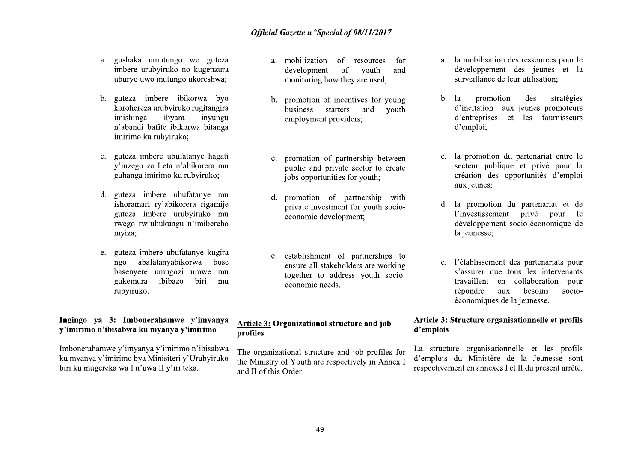- a. gushaka umutungo wo guteza imbere urubyiruko no kugenzura uburyo uwo mutungo ukoreshwa;
- b. guteza imbere ibikorwa byo korohereza urubyiruko rugitangira imishinga ibvara invungu n'abandi bafite ibikorwa bitanga imirimo ku rubyiruko;
- c. guteza imbere ubufatanye hagati v'inzego za Leta n'abikorera mu guhanga imirimo ku rubyiruko;
- guteza imbere ubufatanye mu d. ishoramari ry'abikorera rigamije guteza imbere urubyiruko mu rwego rw'ubukungu n'imibereho myiza;
- e. guteza imbere ubufatanye kugira abafatanyabikorwa ngo bose basenyere umugozi umwe mu ibibazo gukemura biri mu rubviruko.

### Ingingo ya 3: Imbonerahamwe y'imyanya v'imirimo n'ibisabwa ku myanya v'imirimo

Imbonerahamwe y'imyanya y'imirimo n'ibisabwa ku myanya y'imirimo bya Minisiteri y'Urubyiruko biri ku mugereka wa I n'uwa II y'iri teka.

- a. mobilization of resources for development of vouth and monitoring how they are used;
- b. promotion of incentives for young business starters and vouth employment providers;
- c. promotion of partnership between public and private sector to create jobs opportunities for youth:
- d. promotion of partnership with private investment for youth socioeconomic development:
- e. establishment of partnerships to ensure all stakeholders are working together to address youth socioeconomic needs.

### Article 3: Organizational structure and job profiles

The organizational structure and job profiles for the Ministry of Youth are respectively in Annex I and II of this Order.

- a. la mobilisation des ressources pour le développement des jeunes et la surveillance de leur utilisation;
- stratégies promotion  $b_{-}$ - la des d'incitation aux jeunes promoteurs d'entreprises et les fournisseurs d'emploi:
- c. la promotion du partenariat entre le secteur publique et privé pour la création des opportunités d'emploi aux jeunes;
- d. la promotion du partenariat et de l'investissement privé pour le développement socio-économique de la jeunesse;
- l'établissement des partenariats pour e. s'assurer que tous les intervenants travaillent en collaboration pour répondre aux besoins socioéconomiques de la jeunesse.

### Article 3: Structure organisationnelle et profils d'emplois

La structure organisationnelle et les profils d'emplois du Ministère de la Jeunesse sont respectivement en annexes I et II du présent arrêté.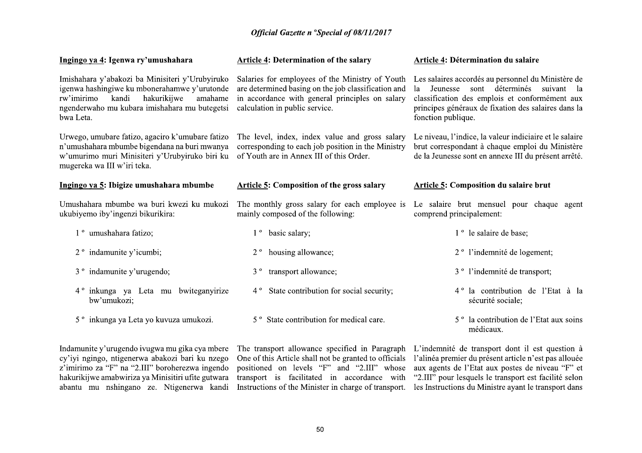|                                                                                                                                                                                                                                                        | <b>Official Gazette n 'Special of 08/11/2017</b>                                                                                                                                                           |                                                                                                                                                                                                                                                                                                                              |
|--------------------------------------------------------------------------------------------------------------------------------------------------------------------------------------------------------------------------------------------------------|------------------------------------------------------------------------------------------------------------------------------------------------------------------------------------------------------------|------------------------------------------------------------------------------------------------------------------------------------------------------------------------------------------------------------------------------------------------------------------------------------------------------------------------------|
| Ingingo ya 4: Igenwa ry'umushahara                                                                                                                                                                                                                     | <b>Article 4: Determination of the salary</b>                                                                                                                                                              | Article 4: Détermination du salaire                                                                                                                                                                                                                                                                                          |
| Imishahara y'abakozi ba Minisiteri y'Urubyiruko<br>igenwa hashingiwe ku mbonerahamwe y'urutonde<br>hakurikijwe<br>rw'imirimo<br>kandi<br>amahame<br>ngenderwaho mu kubara imishahara mu butegetsi<br>bwa Leta.                                         | Salaries for employees of the Ministry of Youth<br>are determined basing on the job classification and<br>in accordance with general principles on salary<br>calculation in public service.                | Les salaires accordés au personnel du Ministère de<br>Jeunesse sont déterminés suivant la<br>la<br>classification des emplois et conformément aux<br>principes généraux de fixation des salaires dans la<br>fonction publique.                                                                                               |
| Urwego, umubare fatizo, agaciro k'umubare fatizo<br>n'umushahara mbumbe bigendana na buri mwanya<br>w'umurimo muri Minisiteri y'Urubyiruko biri ku<br>mugereka wa III w'iri teka.                                                                      | The level, index, index value and gross salary<br>corresponding to each job position in the Ministry<br>of Youth are in Annex III of this Order.                                                           | Le niveau, l'indice, la valeur indiciaire et le salaire<br>brut correspondant à chaque emploi du Ministère<br>de la Jeunesse sont en annexe III du présent arrêté.                                                                                                                                                           |
| Ingingo ya 5: Ibigize umushahara mbumbe                                                                                                                                                                                                                | <b>Article 5: Composition of the gross salary</b>                                                                                                                                                          | <b>Article 5: Composition du salaire brut</b>                                                                                                                                                                                                                                                                                |
| Umushahara mbumbe wa buri kwezi ku mukozi<br>ukubiyemo iby'ingenzi bikurikira:                                                                                                                                                                         | The monthly gross salary for each employee is<br>mainly composed of the following:                                                                                                                         | Le salaire brut mensuel pour chaque agent<br>comprend principalement:                                                                                                                                                                                                                                                        |
| 1 <sup>°</sup> umushahara fatizo;                                                                                                                                                                                                                      | 1 <sup>°</sup> basic salary;                                                                                                                                                                               | 1 <sup>°</sup> le salaire de base;                                                                                                                                                                                                                                                                                           |
| 2 <sup>°</sup> indamunite y'icumbi;                                                                                                                                                                                                                    | 2 <sup>°</sup> housing allowance;                                                                                                                                                                          | 2 <sup>°</sup> l'indemnité de logement;                                                                                                                                                                                                                                                                                      |
| 3 <sup>°</sup> indamunite y'urugendo;                                                                                                                                                                                                                  | 3 <sup>°</sup> transport allowance;                                                                                                                                                                        | 3 <sup>°</sup> l'indemnité de transport;                                                                                                                                                                                                                                                                                     |
| 4 <sup>°</sup> inkunga ya Leta mu bwiteganyirize<br>bw'umukozi;                                                                                                                                                                                        | 4° State contribution for social security;                                                                                                                                                                 | 4 <sup>°</sup> la contribution de l'Etat à la<br>sécurité sociale;                                                                                                                                                                                                                                                           |
| 5 <sup>°</sup> inkunga ya Leta yo kuvuza umukozi.                                                                                                                                                                                                      | 5 <sup>°</sup> State contribution for medical care.                                                                                                                                                        | 5 <sup>°</sup> la contribution de l'Etat aux soins<br>médicaux.                                                                                                                                                                                                                                                              |
| Indamunite y'urugendo ivugwa mu gika cya mbere<br>cy'iyi ngingo, ntigenerwa abakozi bari ku nzego<br>z'imirimo za "F" na "2.III" boroherezwa ingendo<br>hakurikijwe amabwiriza ya Minisitiri ufite gutwara<br>abantu mu nshingano ze. Ntigenerwa kandi | One of this Article shall not be granted to officials<br>positioned on levels "F" and "2.III" whose<br>transport is facilitated in accordance with<br>Instructions of the Minister in charge of transport. | The transport allowance specified in Paragraph L'indemnité de transport dont il est question à<br>l'alinéa premier du présent article n'est pas allouée<br>aux agents de l'Etat aux postes de niveau "F" et<br>"2.III" pour lesquels le transport est facilité selon<br>les Instructions du Ministre ayant le transport dans |
|                                                                                                                                                                                                                                                        |                                                                                                                                                                                                            |                                                                                                                                                                                                                                                                                                                              |
|                                                                                                                                                                                                                                                        | 50                                                                                                                                                                                                         |                                                                                                                                                                                                                                                                                                                              |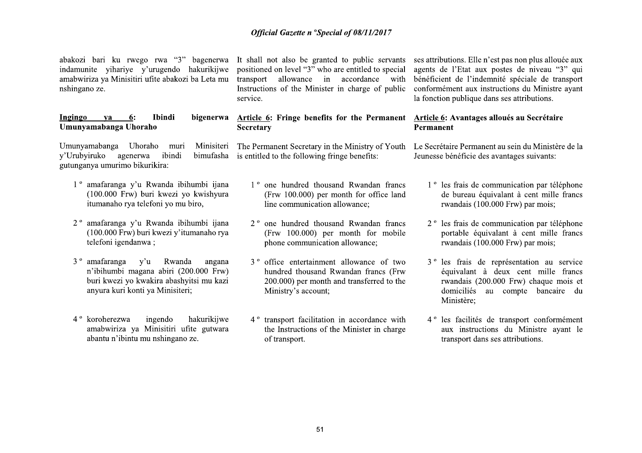Official Gazette n<br>
abakozi bari ku rwego rwa "3" bagenerwa It shall not also be<br>
indamunite yihariye y'urugendo hakurikijwe positioned on level "3"<br>
amabwiriza ya Minisitiri ufite abakozi ba Leta mu transport allowance<br>
n **Official Gazette n**<br>
abakozi bari ku rwego rwa "3" bagenerwa It shall not also be<br>
indamunite yihariye y'urugendo hakurikijwe positioned on level "3"<br>
amabwiriza ya Minisitiri ufite abakozi ba Leta mu transport allowance abakozi bari ku rwego rwa "3" bagenerwa It shall not also be indamunite yihariye y'urugendo hakurikijwe positioned on level "3" amabwiriza ya Minisitiri ufite abakozi ba Leta mu transport allowance mshingano ze.<br> **Ingingo** 

- 
- Instructions of the Mini<br>
service.<br> **Ibindi** bigenerwa **Article 6:** Fringe bene<br>
o<br>
muri Minisiteri The Permanent Secretary<br>
ibindi bimufasha is entitled to the followin<br>
kira:<br>
wanda ibihumbi ijana  $1^{\circ}$  one hundred th
- Service.<br> **Indunyamabanga Uhoraho**<br> **Umunyamabanga Uhoraho**<br> **IMMAX** Umunyamabanga Uhoraho muri Minisiteri The Permanent Secretary<br>
y'Urubyiruko agenerwa ibindi binufasha is entitled to the follow<br>
gutunganya umurimo biku Umunyamabanga Uhoraho muri Minisiteri The Permanent Secret<br>
y'Urubyiruko agenerwa ibindi bimufasha is entitled to the follow<br>
gutunganya umurimo bikurikira:<br>
1° amafaranga y'u Rwanda ibihumbi ijana (Frw 100.000)<br>
itumanah 1 ° amafaranga y'u Rwanda ibihumbi ijana<br>
(100.000 Frw) buri kwezi yo kwishyura (Frw 100.000)<br>
itumanaho rya telefoni yo mu biro, line communic<br>
2 ° amafaranga y'u Rwanda ibihumbi ijana 2 ° one hundred<br>
(100.000 Frw) buri 2° amafaranga y'u (100.000 Frw) bu<br>telefoni igendany<br>3° amafaranga y n'ibihumbi magg<br>buri kwezi yo kw<br>anyura kuri konti<br>4° koroherezwa<br>amabwiriza ya abantu n'ibintu n (100.000 Frw) buri kwezi y'itumanaho rya<br>
telefoni igendanwa; phone community phone community of the community of the community of the community of the community of the base of the community of the community of the commun
- n'ibihumbi maga<br>buri kwezi yo kw<br>anyura kuri konti<br>4 ° koroherezwa<br>amabwiriza ya<br>abantu n'ibintu n buri kwezi yo ku<br>anyura kuri konti<br>4 ° koroherezwa<br>amabwiriza ya<br>abantu n'ibintu n anyura kuri konti<br>4<sup>°</sup> koroherezwa<br>amabwiriza ya<br>abantu n'ibintu n 4 ° koroherezwa<br>amabwiriza ya<br>abantu n'ibintu n<br> A abiri (200.000 Frw) hundred thousant through the bounded thousant irra abashyitsi mu kazi a 200.000) per momentum Ministry's accouse and Ministry's accouse of transport facilita the Instructions of transport. is a bashyitsi mu kazi a 200.000) per mo<br>
a Minisiteri; a Ministry's accou<br>
gendo hakurikijwe 4<sup>°</sup> transport facilita<br>
inisitiri ufite gutwara the Instructions<br>
of transport.<br>
55 Ninisiteri;<br>
Ministry's accourance and the Ministry's accourance and the Instructions<br>
institution and the Instructions<br>
of transport.<br>
55 gendo hakurikijwe 4<sup>°</sup> transport facilita<br>
inisitiri ufite gutwara the Instructions<br>
of transport.<br>
5

**Official Gazette n <sup>o</sup>Special c<br>
"3"** bagenerwa It shall not also be granted to<br>
endo hakurikijwe positioned on level "3" who are<br>
bakozi ba Leta mu transport allowance in a linstructions of the Minister in<br>
service. Official Gazette n <sup>o</sup>Special of<br>
"
bagenerwa It shall not also be granted to<br>
hakurikijwe positioned on level "3" who are er<br>
zi ba Leta mu transport allowance in acc<br>
Instructions of the Minister in cl<br>
service.<br>
bigener Official Gazette n <sup>o</sup>Special of 08/11/20<br>
bagenerwa It shall not also be granted to public s<br>
hakurikijwe positioned on level "3" who are entitled to<br>
i ba Leta mu transport allowance in accordance<br>
Instructions of the Mi Official Gazette n <sup>o</sup>Special of 08/11/20<br>
erwa It shall not also be granted to public se<br>
ijwe positioned on level "3" who are entitled to is<br>
imu transport allowance in accordance<br>
Instructions of the Minister in charge Official Gazette n <sup>o</sup>Special of 08/11/2017<br>
rwa It shall not also be granted to public servants s<br>
jwe positioned on level "3" who are entitled to special a<br>
mu transport allowance in accordance with b<br>
Instructions of th **Official Gazette n °Special of 08/11/2017**<br>
and not also be granted to public servants ses attributions. El<br>
tioned on level "3" who are entitled to special agents de l'Etat<br>
sport allowance in accordance with bénéficien Official Gazette n <sup>o</sup>Special of 08/11/2017<br>
rwa "3" bagenerwa It shall not also be granted to public servants ses attributions. Elle n'<br>
rugendo hakurikijwe positioned on level "3" who are entitled to special agents de l' **Cofficial Gazette n °Special of 08/11/2017**<br>
Trugendo hakurikijwe positioned on level "3" who are entitled to special agents de l'Etat aux<br>
tite abakozi ba Leta nu transport allowance in accordance with bénéficient de l' rwa "3" bagenerwa It shall not also be granted to public servants ses attributions. Elle n'<br>
interator of the Numerous interaction of the Minister in charge of public ospecial agents de l'Endature<br>
Instructions of the Min

- For in charge of public conformément aux instrues<br>
a fonction publique dans<br> **Solution 1990** of Youth Le Secrétaire Permanent<br>
the Ministry of Youth Le Secrétaire Permanent<br>
Frame and Rwandan francs<br>
and Rwandan francs<br>
a
- 
- Examples of the Secretary and the Secretary<br> **Examples of the Secretary**<br> **Examples of Secretary**<br> **Examples the Secretary**<br> **Examples the Secretary**<br> **Examples of Secretary**<br> **Example 100.000 Example 100.000 Example** muri Ministieri The Permanent Secretary in the Ministry of Youth Le Secrétaire Permane<br>
ide binumbi binumbi igna<br>
1<sup>°</sup> one hundred thousand Rwandan francs<br>
1<sup>°</sup> les frais de co<br>
evez i yo kwishyura<br>
(Frw 100.000) per month Manda ibihumbi ijana 1° one hundred thousand Rwandan francs 1° les frais de composition is in the communication allowance;<br>
wanda ibihumbi ijana 2° one hundred thousand Rwandan francs 2° les frais de communication allowanc bihumbi ijana 2° one hundred thousand<br>itumanaho rya (Frw 100.000) per more phone communication all<br>nda angana 3° office entertainment all<br>200.000 Frw) hundred thousand Rwan<br>hyitsi mu kazi 200.000) per month and<br>eri; Minist Example of Friestands and the communication allowance;<br>
example the communication allowance of two<br>
two states in the communication and the communication are communication and the control of two states in the control of th
	- and transferred to the rwandais (200.0)<br>domiciliés au Ministère;<br>n in accordance with 4° les facilités de<br>the Minister in charge aux instructions<br>transport dans se domiciliés au<br>
	Ministère;<br>
	in in accordance with<br>
	4<sup>°</sup> les facilités de<br>
	aux instructions<br>
	transport dans se<br>
	transport dans se Ministère;<br>
	4<sup>°</sup> transport facilitation in accordance with<br>
	4<sup>°</sup> les facilités de<br>
	of transport.<br>
	of transport dans se<br>
	12<sup>°</sup> transport dans se<br>
	13<sup>°</sup> transport dans se<br>
	15<sup>1</sup>

cial of 08/11/2017<br>
ed to public servants ses attributions. Elle n'est pas non plus allouée aux<br>
are entitled to special agents de l'Etat aux postes de niveau "3" qui<br>
accordance with bénéficient de l'indemnité spéciale d cial of 08/11/2017<br>
ed to public servants ses attributions. Elle n'est pas non plus allouée aux<br>
are entitled to special agents de l'Etat aux postes de niveau "3" qui<br>
accordance with bénéficient de l'indemnité spéciale d 64 to public servants ses attributions. Elle n'est pas non plus allouée aux<br>are entitled to special agents de l'Etat aux postes de niveau "3" qui<br>accordance with bénficient de l'indemitié spécial de transport<br>in charge of

- 
- 
- 1 a fonction publique dans ses attributions.<br> **6. 6. Formanent**<br> **6. Exercediare Permanent** au sein du Ministère de la<br> **6. Exercediare Permanent** au sein du Ministère de la<br> **6. Exercediare Permanent** au sein d Ministry of Youth Le Secrétaire Permanent au sein du Ministère de la<br>
de benefits:<br>
Ewandan francs<br>
1<sup>°</sup> les frais de communication par téléphone<br>
entable de bureau équivalant à cent mille francs<br>
wandans (100.000 Frw) pa France Mondon France 1<sup>°</sup> les frais de communication par téléphone<br>
incomth for office land<br>
incomations (100.000 Frw) par mois;<br>
sand Rwandan france communication par téléphone<br>
incomations (100.000 Frw) par mois;<br>
incoma From the formulation of two portable équivalant à cent mille francs<br>
from allowance of two 3<sup>°</sup> les frais de représentation au service<br>
Rwandan francs (Frw équivalant à deux cent mille francs<br>
and transferred to the rwanda Rwandan francs (Frw équivalant à d<br>
n and transferred to the<br>
twandais (200.0<br>
domiciliés au<br>
Ministère;<br>
n in accordance with<br>
4<sup>°</sup> les facilités de<br>
aux instructions<br>
transport dans se<br>
transport dans se
	-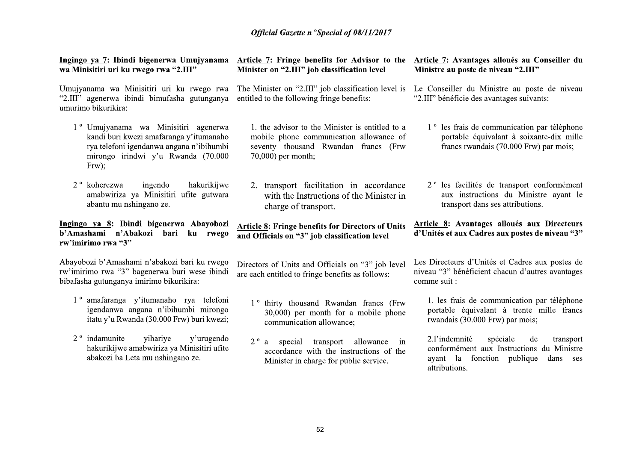| Ingingo ya 7: Ibindi bigenerwa Umujyanama<br>wa Minisitiri uri ku rwego rwa "2.III"                                                                                           | Article 7: Fringe benefits for Advisor to the<br>Minister on "2.III" job classification level                                                            | Article 7: Avantages alloués au Conseiller du<br>Ministre au poste de niveau "2.III"                                                          |  |
|-------------------------------------------------------------------------------------------------------------------------------------------------------------------------------|----------------------------------------------------------------------------------------------------------------------------------------------------------|-----------------------------------------------------------------------------------------------------------------------------------------------|--|
| Umujyanama wa Minisitiri uri ku rwego rwa<br>"2.III" agenerwa ibindi bimufasha gutunganya<br>umurimo bikurikira:                                                              | The Minister on "2.III" job classification level is<br>entitled to the following fringe benefits:                                                        | Le Conseiller du Ministre au poste de niveau<br>"2.III" bénéficie des avantages suivants:                                                     |  |
| 1º Umujyanama wa Minisitiri agenerwa<br>kandi buri kwezi amafaranga y'itumanaho<br>rya telefoni igendanwa angana n'ibihumbi<br>mirongo irindwi y'u Rwanda (70.000<br>$Frw$ ); | 1. the advisor to the Minister is entitled to a<br>mobile phone communication allowance of<br>seventy thousand Rwandan francs (Frw<br>70,000) per month; | 1 <sup>°</sup> les frais de communication par téléphone<br>portable équivalant à soixante-dix mille<br>francs rwandais (70.000 Frw) par mois; |  |
| 2 <sup>°</sup> koherezwa<br>ingendo<br>hakurikijwe<br>amabwiriza ya Minisitiri ufite gutwara<br>abantu mu nshingano ze.                                                       | 2. transport facilitation in accordance<br>with the Instructions of the Minister in<br>charge of transport.                                              | 2 <sup>°</sup> les facilités de transport conformément<br>aux instructions du Ministre ayant le<br>transport dans ses attributions.           |  |
|                                                                                                                                                                               |                                                                                                                                                          |                                                                                                                                               |  |
| Ingingo ya 8: Ibindi bigenerwa Abayobozi<br>b'Amashami n'Abakozi bari<br>ku<br>rwego<br>rw'imirimo rwa "3"                                                                    | <b>Article 8: Fringe benefits for Directors of Units</b><br>and Officials on "3" job classification level                                                | Article 8: Avantages alloués aux Directeurs<br>d'Unités et aux Cadres aux postes de niveau "3"                                                |  |
| Abayobozi b'Amashami n'abakozi bari ku rwego<br>rw'imirimo rwa "3" bagenerwa buri wese ibindi<br>bibafasha gutunganya imirimo bikurikira:                                     | Directors of Units and Officials on "3" job level<br>are each entitled to fringe benefits as follows:                                                    | Les Directeurs d'Unités et Cadres aux postes de<br>niveau "3" bénéficient chacun d'autres avantages<br>comme suit :                           |  |
| 1 <sup>°</sup> amafaranga y'itumanaho rya telefoni<br>igendanwa angana n'ibihumbi mirongo<br>itatu y'u Rwanda (30.000 Frw) buri kwezi;                                        | 1 <sup>°</sup> thirty thousand Rwandan francs (Frw<br>30,000) per month for a mobile phone<br>communication allowance;                                   | 1. les frais de communication par téléphone<br>portable équivalant à trente mille francs<br>rwandais (30.000 Frw) par mois;                   |  |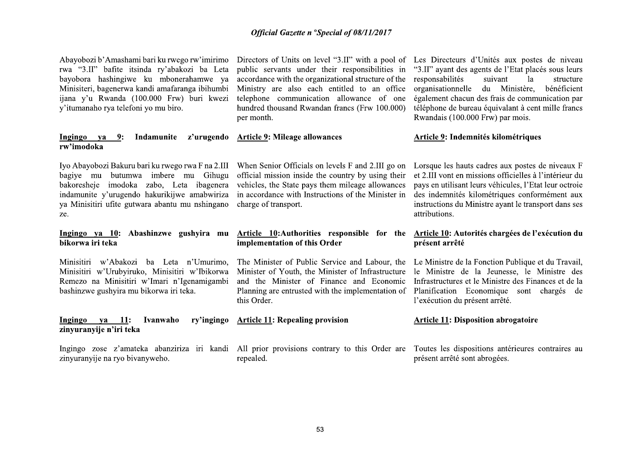Abayobozi b'Amashami bari ku rwego rw'imirimo Directors of Units on level "3.II" with a pool of Les Directeurs d'Unités aux postes de niveau rwa "3.II" bafite itsinda ry'abakozi ba Leta bayobora hashingiwe ku mbonerahamwe va Minisiteri, bagenerwa kandi amafaranga ibihumbi ijana y'u Rwanda (100.000 Frw) buri kwezi y'itumanaho rya telefoni yo mu biro.

### Indamunite z'urugendo Article 9: Mileage allowances Ingingo va  $9:$ rw'imodoka

bagiye mu butumwa imbere mu Gihugu bakoresheje imodoka zabo, Leta ibagenera indamunite y'urugendo hakurikijwe amabwiriza va Minisitiri ufite gutwara abantu mu nshingano ze.

### Ingingo va 10: Abashinzwe gushvira mu bikorwa iri teka

Minisitiri w'Abakozi ba Leta n'Umurimo. Minisitiri w'Urubyiruko, Minisitiri w'Ibikorwa Remezo na Minisitiri w'Imari n'Igenamigambi bashinzwe gushyira mu bikorwa iri teka.

### $-11$ : **Ivanwaho** ry'ingingo Ingingo ya zinyuranyije n'iri teka

zinyuranyije na ryo biyanyweho.

public servants under their responsibilities in accordance with the organizational structure of the responsabilities Ministry are also each entitled to an office organisationnelle du Ministère, telephone communication allowance of one hundred thousand Rwandan francs (Frw 100.000) per month.

official mission inside the country by using their et 2.III vont en missions officielles à l'intérieur du vehicles, the State pays them mileage allowances in accordance with Instructions of the Minister in charge of transport.

### Article 10: Authorities responsible for the Article 10: Autorités chargées de l'exécution du implementation of this Order

The Minister of Public Service and Labour, the Le Ministre de la Fonction Publique et du Travail, Minister of Youth, the Minister of Infrastructure le Ministre de la Jeunesse, le Ministre des and the Minister of Finance and Economic Infrastructures et le Ministre des Finances et de la Planning are entrusted with the implementation of Planification Economique sont chargés de this Order.

## **Article 11: Repealing provision**

Ingingo zose z'amateka abanziriza iri kandi All prior provisions contrary to this Order are Toutes les dispositions antérieures contraires au repealed.

"3.II" ayant des agents de l'Etat placés sous leurs suivant  $1a$ structure bénéficient également chacun des frais de communication par téléphone de bureau équivalant à cent mille francs Rwandais (100.000 Frw) par mois.

### Article 9: Indemnités kilométriques

Iyo Abayobozi Bakuru bari ku rwego rwa F na 2.III When Senior Officials on levels F and 2.III go on Lorsque les hauts cadres aux postes de niveaux F pays en utilisant leurs véhicules, l'Etat leur octroie des indemnités kilométriques conformément aux instructions du Ministre avant le transport dans ses attributions.

# présent arrêté

l'exécution du présent arrêté.

### **Article 11: Disposition abrogatoire**

présent arrêté sont abrogées.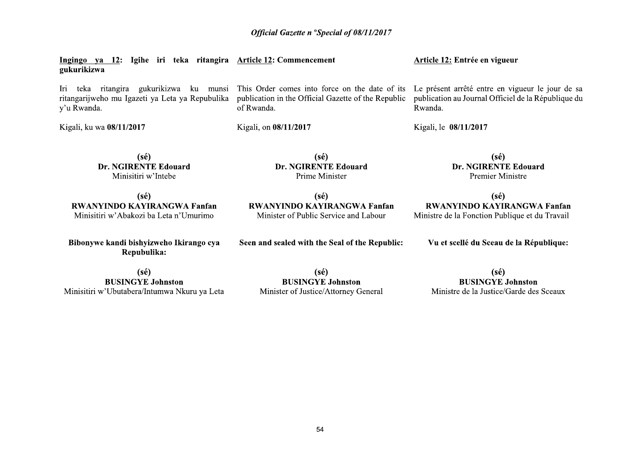| Ingingo ya 12: Igihe iri teka ritangira Article 12: Commencement<br>gukurikizwa                                     |                                                                                                                     | Article 12: Entrée en vigueur                                                                                      |  |
|---------------------------------------------------------------------------------------------------------------------|---------------------------------------------------------------------------------------------------------------------|--------------------------------------------------------------------------------------------------------------------|--|
| ritangira gukurikizwa<br>ku munsi<br>teka<br>lrı.<br>ritangarijweho mu Igazeti ya Leta ya Repubulika<br>y'u Rwanda. | This Order comes into force on the date of its<br>publication in the Official Gazette of the Republic<br>of Rwanda. | Le présent arrêté entre en vigueur le jour de sa<br>publication au Journal Officiel de la République du<br>Rwanda. |  |
| Kigali, ku wa 08/11/2017                                                                                            | Kigali, on 08/11/2017                                                                                               | Kigali, le 08/11/2017                                                                                              |  |
| (sé)<br>Dr. NGIRENTE Edouard<br>Minisitiri w'Intebe                                                                 | (sé)<br>Dr. NGIRENTE Edouard<br>Prime Minister                                                                      | $(s\acute{e})$<br>Dr. NGIRENTE Edouard<br>Premier Ministre                                                         |  |
| $(s\acute{e})$<br><b>RWANYINDO KAYIRANGWA Fanfan</b><br>Minisitiri w'Abakozi ba Leta n'Umurimo                      | $(s\acute{e})$<br><b>RWANYINDO KAYIRANGWA Fanfan</b><br>Minister of Public Service and Labour                       | $(s\acute{e})$<br><b>RWANYINDO KAYIRANGWA Fanfan</b><br>Ministre de la Fonction Publique et du Travail             |  |
| Bibonywe kandi bishyizweho Ikirango cya                                                                             | Seen and sealed with the Seal of the Republic:                                                                      | Vu et scellé du Sceau de la République:                                                                            |  |

Bibonywe kandi bishyizweho Ikirango cya<br>Repubulika:

 $(s\acute{e})$ **BUSINGYE Johnston** Minisitiri w'Ubutabera/Intumwa Nkuru ya Leta

 $(s\acute{e})$ **BUSINGYE Johnston** Minister of Justice/Attorney General

 $(s\acute{e})$ **BUSINGYE Johnston** Ministre de la Justice/Garde des Sceaux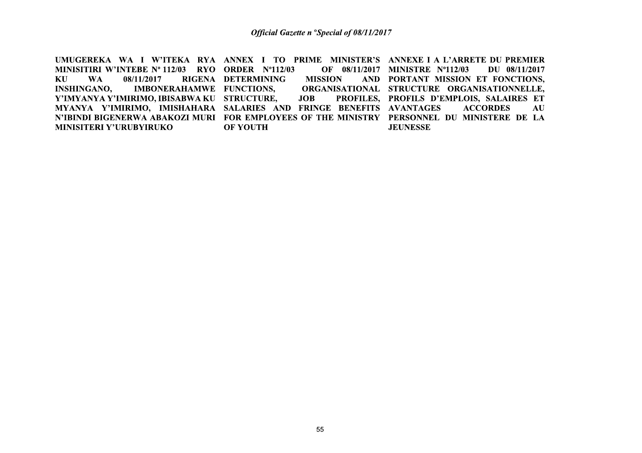UMUGEREKA WA I W'ITEKA RYA ANNEX I TO PRIME MINISTER'S ANNEXE I A L'ARRETE DU PREMIER MINISITIRI W'INTEBE Nº 112/03 RYO ORDER Nº112/03 OF 08/11/2017 MINISTRE Nº112/03 DU 08/11/2017 KU **MISSION** AND PORTANT MISSION ET FONCTIONS. **WA** 08/11/2017 RIGENA DETERMINING **INSHINGANO,** IMBONERAHAMWE FUNCTIONS, ORGANISATIONAL STRUCTURE ORGANISATIONNELLE, Y'IMYANYA Y'IMIRIMO, IBISABWA KU STRUCTURE, **JOB** PROFILES, PROFILS D'EMPLOIS, SALAIRES ET MYANYA Y'IMIRIMO, IMISHAHARA SALARIES AND FRINGE BENEFITS AVANTAGES **ACCORDES** AU N'IBINDI BIGENERWA ABAKOZI MURI FOR EMPLOYEES OF THE MINISTRY PERSONNEL DU MINISTERE DE LA **MINISITERI Y'URUBYIRUKO JEUNESSE OF YOUTH**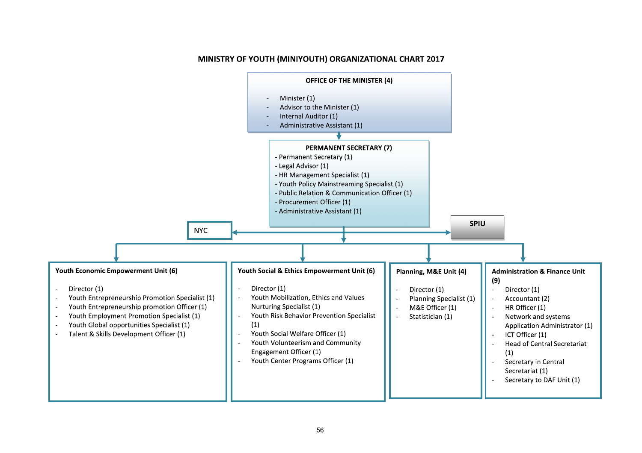

### MINISTRY OF YOUTH (MINIYOUTH) ORGANIZATIONAL CHART 2017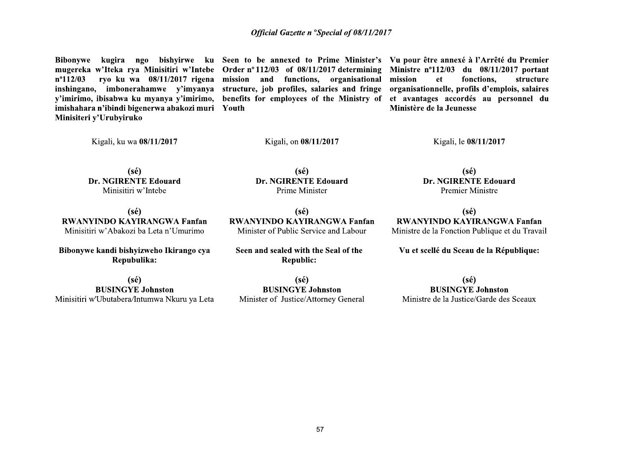mugereka w'Iteka rya Minisitiri w'Intebe Order nº 112/03 of 08/11/2017 determining Ministre nº112/03 du 08/11/2017 portant  $n^{\circ}112/03$ inshingano, imbonerahamwe y'imyanya structure, job profiles, salaries and fringe organisationnelle, profils d'emplois, salaires v'imirimo, ibisabwa ku myanya v'imirimo, benefits for employees of the Ministry of et avantages accordés au personnel du imishahara n'ibindi bigenerwa abakozi muri Youth Minisiteri y'Urubyiruko

ryo ku wa 08/11/2017 rigena mission and functions, organisational mission

Bibonywe kugira ngo bishyirwe ku Seen to be annexed to Prime Minister's Vu pour être annexé à l'Arrêté du Premier fonctions. structure et Ministère de la Jeunesse

Kigali, ku wa 08/11/2017

Kigali, on 08/11/2017

Kigali, le 08/11/2017

 $(s\acute{e})$ **Dr. NGIRENTE Edouard** Minisitiri w'Intebe

 $(s\acute{e})$ **Dr. NGIRENTE Edouard** Prime Minister

 $(s\acute{e})$ **RWANYINDO KAYIRANGWA Fanfan** Minisitiri w'Abakozi ba Leta n'Umurimo

Bibonywe kandi bishyizweho Ikirango cya Repubulika:

 $(s\acute{e})$ **RWANYINDO KAYIRANGWA Fanfan** Minister of Public Service and Labour

Seen and sealed with the Seal of the **Republic:** 

 $(s\acute{e})$ **Dr. NGIRENTE Edouard Premier Ministre** 

 $(s\acute{e})$ **RWANYINDO KAYIRANGWA Fanfan** Ministre de la Fonction Publique et du Travail

Vu et scellé du Sceau de la République:

 $(s\acute{e})$ **BUSINGYE Johnston** Minisitiri w'Ubutabera/Intumwa Nkuru ya Leta

 $(s\acute{e})$ **BUSINGYE Johnston** Minister of Justice/Attorney General

 $(s\acute{e})$ **BUSINGYE Johnston** Ministre de la Justice/Garde des Sceaux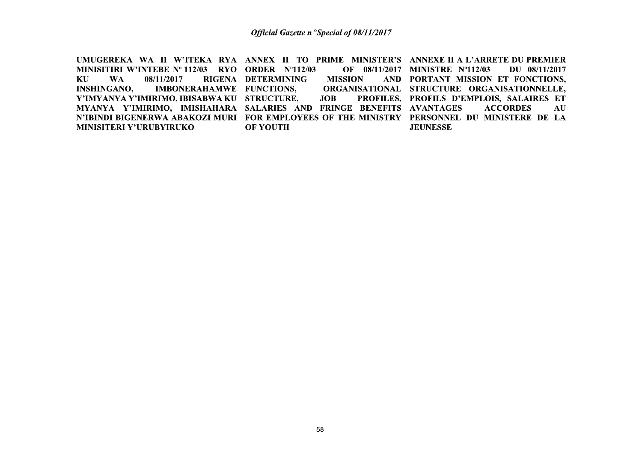UMUGEREKA WA II W'ITEKA RYA ANNEX II TO PRIME MINISTER'S ANNEXE II A L'ARRETE DU PREMIER MINISITIRI W'INTEBE Nº 112/03 RYO ORDER Nº112/03 OF 08/11/2017 MINISTRE Nº112/03 DU 08/11/2017 KU AND PORTANT MISSION ET FONCTIONS. **WA** 08/11/2017 RIGENA DETERMINING **MISSION INSHINGANO, IMBONERAHAMWE FUNCTIONS,** ORGANISATIONAL STRUCTURE ORGANISATIONNELLE, Y'IMYANYA Y'IMIRIMO, IBISABWA KU STRUCTURE, **JOB** PROFILES, PROFILS D'EMPLOIS, SALAIRES ET MYANYA Y'IMIRIMO, IMISHAHARA SALARIES AND FRINGE BENEFITS AVANTAGES **ACCORDES** AU N'IBINDI BIGENERWA ABAKOZI MURI FOR EMPLOYEES OF THE MINISTRY PERSONNEL DU MINISTERE DE LA **MINISITERI Y'URUBYIRUKO OF YOUTH JEUNESSE**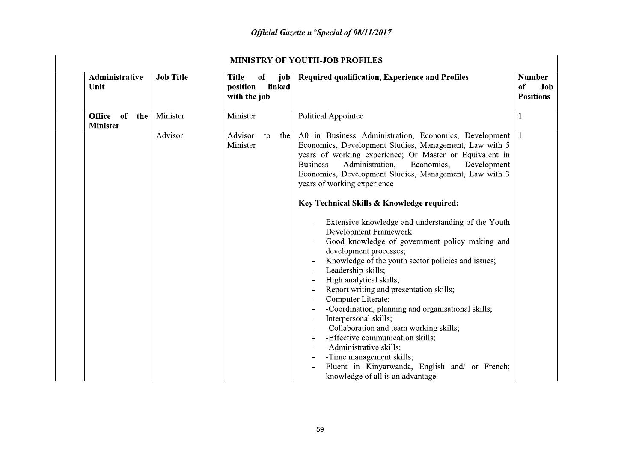| <b>MINISTRY OF YOUTH-JOB PROFILES</b> |                  |                                                                            |                                                                                                                                                                                                                                                                                                                                                                                                                                                                                                                                                                                                                                                                                                                                                                                                                                                                                                                                                                                                                                    |                                                |
|---------------------------------------|------------------|----------------------------------------------------------------------------|------------------------------------------------------------------------------------------------------------------------------------------------------------------------------------------------------------------------------------------------------------------------------------------------------------------------------------------------------------------------------------------------------------------------------------------------------------------------------------------------------------------------------------------------------------------------------------------------------------------------------------------------------------------------------------------------------------------------------------------------------------------------------------------------------------------------------------------------------------------------------------------------------------------------------------------------------------------------------------------------------------------------------------|------------------------------------------------|
| Administrative<br>Unit                | <b>Job Title</b> | <b>Title</b><br><sub>of</sub><br>job<br>position<br>linked<br>with the job | Required qualification, Experience and Profiles                                                                                                                                                                                                                                                                                                                                                                                                                                                                                                                                                                                                                                                                                                                                                                                                                                                                                                                                                                                    | <b>Number</b><br>of<br>Job<br><b>Positions</b> |
| Office of<br>the<br><b>Minister</b>   | Minister         | Minister                                                                   | <b>Political Appointee</b>                                                                                                                                                                                                                                                                                                                                                                                                                                                                                                                                                                                                                                                                                                                                                                                                                                                                                                                                                                                                         |                                                |
|                                       | Advisor          | Advisor<br>the<br>to<br>Minister                                           | A0 in Business Administration, Economics, Development<br>Economics, Development Studies, Management, Law with 5<br>years of working experience; Or Master or Equivalent in<br>Administration,<br><b>Business</b><br>Economics,<br>Development<br>Economics, Development Studies, Management, Law with 3<br>years of working experience<br>Key Technical Skills & Knowledge required:<br>Extensive knowledge and understanding of the Youth<br>Development Framework<br>Good knowledge of government policy making and<br>development processes;<br>Knowledge of the youth sector policies and issues;<br>Leadership skills;<br>High analytical skills;<br>Report writing and presentation skills;<br>Computer Literate;<br>-Coordination, planning and organisational skills;<br>Interpersonal skills;<br>-Collaboration and team working skills;<br>-Effective communication skills;<br>-Administrative skills;<br>-Time management skills;<br>Fluent in Kinyarwanda, English and/ or French;<br>knowledge of all is an advantage |                                                |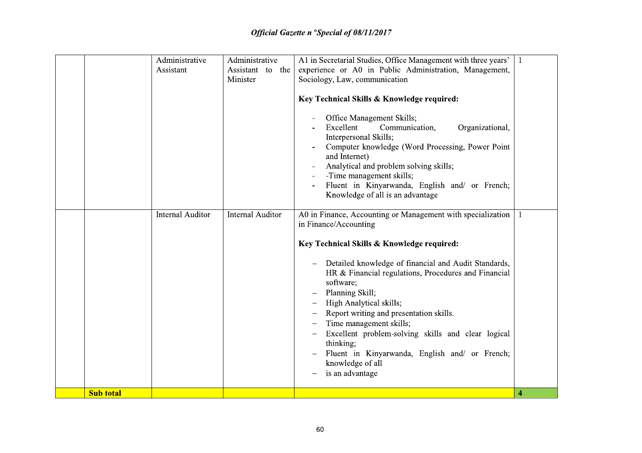|                  | Administrative          | Administrative          | A1 in Secretarial Studies, Office Management with three years'                                                                                                                                                                                                                                                                                                                                                                        | -1               |
|------------------|-------------------------|-------------------------|---------------------------------------------------------------------------------------------------------------------------------------------------------------------------------------------------------------------------------------------------------------------------------------------------------------------------------------------------------------------------------------------------------------------------------------|------------------|
|                  | Assistant               | Assistant to the        | experience or A0 in Public Administration, Management,                                                                                                                                                                                                                                                                                                                                                                                |                  |
|                  |                         | Minister                | Sociology, Law, communication                                                                                                                                                                                                                                                                                                                                                                                                         |                  |
|                  |                         |                         |                                                                                                                                                                                                                                                                                                                                                                                                                                       |                  |
|                  |                         |                         | Key Technical Skills & Knowledge required:                                                                                                                                                                                                                                                                                                                                                                                            |                  |
|                  |                         |                         | Office Management Skills;<br>Excellent<br>Communication,<br>Organizational,<br>Interpersonal Skills;<br>Computer knowledge (Word Processing, Power Point<br>and Internet)<br>Analytical and problem solving skills;<br>-Time management skills;<br>Fluent in Kinyarwanda, English and/ or French;<br>Knowledge of all is an advantage                                                                                                 |                  |
|                  | <b>Internal Auditor</b> | <b>Internal Auditor</b> | A0 in Finance, Accounting or Management with specialization<br>in Finance/Accounting                                                                                                                                                                                                                                                                                                                                                  | -1               |
|                  |                         |                         | Key Technical Skills & Knowledge required:                                                                                                                                                                                                                                                                                                                                                                                            |                  |
|                  |                         |                         | Detailed knowledge of financial and Audit Standards,<br>HR & Financial regulations, Procedures and Financial<br>software;<br>Planning Skill;<br>$\overline{\phantom{0}}$<br>High Analytical skills;<br>Report writing and presentation skills.<br>Time management skills;<br>Excellent problem-solving skills and clear logical<br>thinking;<br>Fluent in Kinyarwanda, English and/ or French;<br>knowledge of all<br>is an advantage |                  |
| <b>Sub total</b> |                         |                         |                                                                                                                                                                                                                                                                                                                                                                                                                                       | $\boldsymbol{A}$ |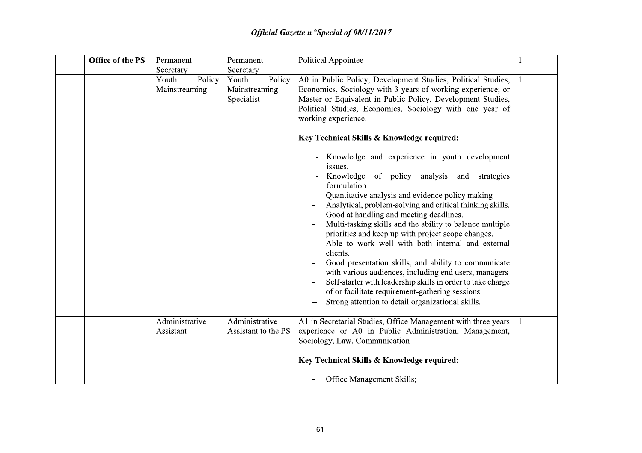| <b>Office of the PS</b> | Permanent                        | Permanent                                      | <b>Political Appointee</b>                                                                                                                                                                                                                                                                                                                                                                                                                                                                                                                                                                                                                                                                                                                                                                                                                                                                                                                                                                                                                                                                    |  |
|-------------------------|----------------------------------|------------------------------------------------|-----------------------------------------------------------------------------------------------------------------------------------------------------------------------------------------------------------------------------------------------------------------------------------------------------------------------------------------------------------------------------------------------------------------------------------------------------------------------------------------------------------------------------------------------------------------------------------------------------------------------------------------------------------------------------------------------------------------------------------------------------------------------------------------------------------------------------------------------------------------------------------------------------------------------------------------------------------------------------------------------------------------------------------------------------------------------------------------------|--|
|                         | Secretary                        | Secretary                                      |                                                                                                                                                                                                                                                                                                                                                                                                                                                                                                                                                                                                                                                                                                                                                                                                                                                                                                                                                                                                                                                                                               |  |
|                         | Policy<br>Youth<br>Mainstreaming | Policy<br>Youth<br>Mainstreaming<br>Specialist | A0 in Public Policy, Development Studies, Political Studies,<br>Economics, Sociology with 3 years of working experience; or<br>Master or Equivalent in Public Policy, Development Studies,<br>Political Studies, Economics, Sociology with one year of<br>working experience.<br>Key Technical Skills & Knowledge required:<br>Knowledge and experience in youth development<br>issues.<br>Knowledge of policy analysis and strategies<br>formulation<br>Quantitative analysis and evidence policy making<br>Analytical, problem-solving and critical thinking skills.<br>Good at handling and meeting deadlines.<br>Multi-tasking skills and the ability to balance multiple<br>priorities and keep up with project scope changes.<br>Able to work well with both internal and external<br>clients.<br>Good presentation skills, and ability to communicate<br>with various audiences, including end users, managers<br>Self-starter with leadership skills in order to take charge<br>of or facilitate requirement-gathering sessions.<br>Strong attention to detail organizational skills. |  |
|                         | Administrative<br>Assistant      | Administrative<br>Assistant to the PS          | A1 in Secretarial Studies, Office Management with three years<br>experience or A0 in Public Administration, Management,<br>Sociology, Law, Communication<br>Key Technical Skills & Knowledge required:<br><b>Office Management Skills;</b>                                                                                                                                                                                                                                                                                                                                                                                                                                                                                                                                                                                                                                                                                                                                                                                                                                                    |  |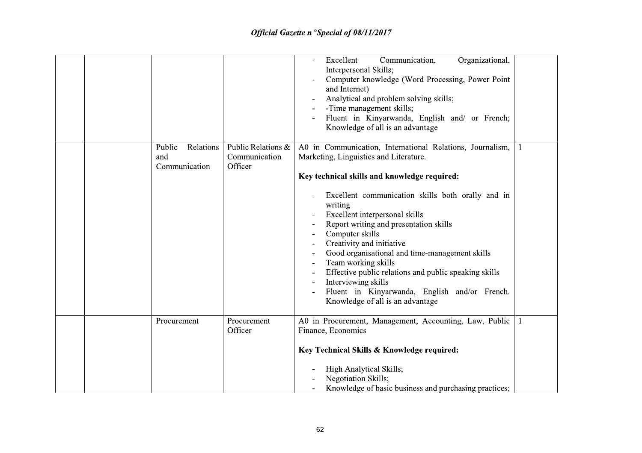|                                             |                                                | Excellent<br>Communication,<br>Organizational,<br>Interpersonal Skills;<br>Computer knowledge (Word Processing, Power Point<br>and Internet)<br>Analytical and problem solving skills;<br>-Time management skills;<br>Fluent in Kinyarwanda, English and/ or French;<br>Knowledge of all is an advantage                                                                                                                                                                                                                                                                                                        |  |
|---------------------------------------------|------------------------------------------------|-----------------------------------------------------------------------------------------------------------------------------------------------------------------------------------------------------------------------------------------------------------------------------------------------------------------------------------------------------------------------------------------------------------------------------------------------------------------------------------------------------------------------------------------------------------------------------------------------------------------|--|
| Relations<br>Public<br>and<br>Communication | Public Relations &<br>Communication<br>Officer | A0 in Communication, International Relations, Journalism,<br>Marketing, Linguistics and Literature.<br>Key technical skills and knowledge required:<br>Excellent communication skills both orally and in<br>writing<br>Excellent interpersonal skills<br>Report writing and presentation skills<br>Computer skills<br>Creativity and initiative<br>Good organisational and time-management skills<br>Team working skills<br>$\blacksquare$<br>Effective public relations and public speaking skills<br>Interviewing skills<br>Fluent in Kinyarwanda, English and/or French.<br>Knowledge of all is an advantage |  |
| Procurement                                 | Procurement<br>Officer                         | A0 in Procurement, Management, Accounting, Law, Public<br>Finance, Economics<br>Key Technical Skills & Knowledge required:<br>High Analytical Skills;<br>Negotiation Skills;<br>Knowledge of basic business and purchasing practices;                                                                                                                                                                                                                                                                                                                                                                           |  |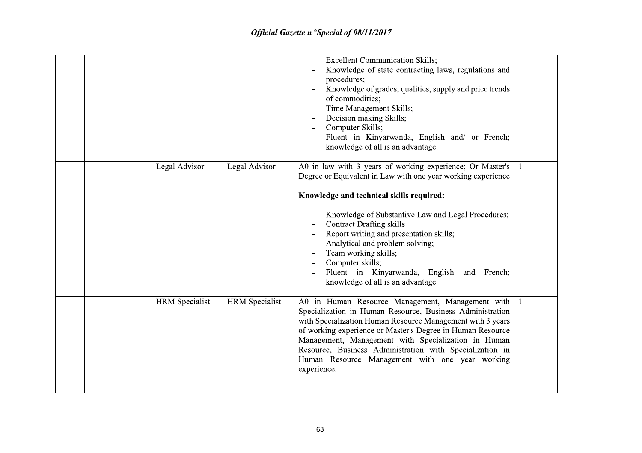| <b>HRM</b> Specialist | <b>HRM</b> Specialist | A0 in Human Resource Management, Management with<br>Specialization in Human Resource, Business Administration<br>with Specialization Human Resource Management with 3 years<br>of working experience or Master's Degree in Human Resource<br>Management, Management with Specialization in Human<br>Resource, Business Administration with Specialization in<br>Human Resource Management with one year working<br>experience.                                                |  |
|-----------------------|-----------------------|-------------------------------------------------------------------------------------------------------------------------------------------------------------------------------------------------------------------------------------------------------------------------------------------------------------------------------------------------------------------------------------------------------------------------------------------------------------------------------|--|
| Legal Advisor         | Legal Advisor         | A0 in law with 3 years of working experience; Or Master's<br>Degree or Equivalent in Law with one year working experience<br>Knowledge and technical skills required:<br>Knowledge of Substantive Law and Legal Procedures;<br><b>Contract Drafting skills</b><br>Report writing and presentation skills;<br>Analytical and problem solving;<br>Team working skills;<br>Computer skills;<br>Fluent in Kinyarwanda, English<br>and French;<br>knowledge of all is an advantage |  |
|                       |                       | <b>Excellent Communication Skills;</b><br>Knowledge of state contracting laws, regulations and<br>procedures;<br>Knowledge of grades, qualities, supply and price trends<br>of commodities;<br>Time Management Skills;<br>Decision making Skills;<br>$\overline{\phantom{a}}$<br>Computer Skills;<br>Fluent in Kinyarwanda, English and/ or French;<br>knowledge of all is an advantage.                                                                                      |  |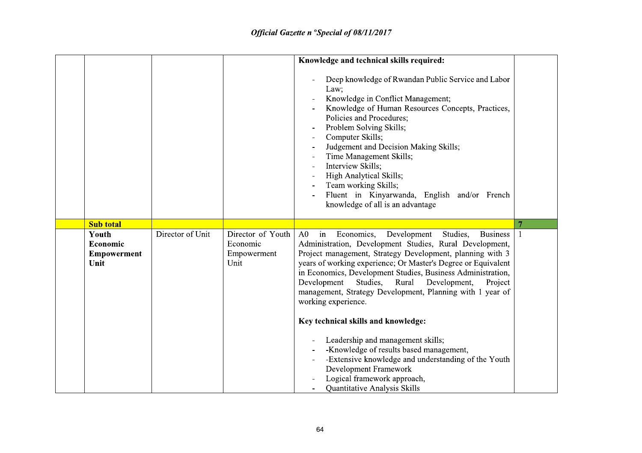|                                                 |                  |                                                      | Knowledge and technical skills required:<br>Deep knowledge of Rwandan Public Service and Labor<br>Law;<br>Knowledge in Conflict Management;<br>Knowledge of Human Resources Concepts, Practices,<br>Policies and Procedures;<br>Problem Solving Skills;<br>Computer Skills;<br>$\qquad \qquad$<br>Judgement and Decision Making Skills;<br>Time Management Skills;<br>Interview Skills;<br>High Analytical Skills;<br>Team working Skills;<br>Fluent in Kinyarwanda, English and/or French<br>knowledge of all is an advantage |                |
|-------------------------------------------------|------------------|------------------------------------------------------|--------------------------------------------------------------------------------------------------------------------------------------------------------------------------------------------------------------------------------------------------------------------------------------------------------------------------------------------------------------------------------------------------------------------------------------------------------------------------------------------------------------------------------|----------------|
| <b>Sub total</b>                                |                  |                                                      |                                                                                                                                                                                                                                                                                                                                                                                                                                                                                                                                | $\overline{7}$ |
| Youth<br>Economic<br><b>Empowerment</b><br>Unit | Director of Unit | Director of Youth<br>Economic<br>Empowerment<br>Unit | Economics,<br>Development<br>A <sub>0</sub><br>in<br>Studies,<br><b>Business</b><br>Administration, Development Studies, Rural Development,<br>Project management, Strategy Development, planning with 3<br>years of working experience; Or Master's Degree or Equivalent<br>in Economics, Development Studies, Business Administration,<br>Development<br>Studies,<br>Rural<br>Development,<br>Project<br>management, Strategy Development, Planning with 1 year of<br>working experience.                                    |                |
|                                                 |                  |                                                      | Key technical skills and knowledge:<br>Leadership and management skills;<br>-Knowledge of results based management,<br>-Extensive knowledge and understanding of the Youth<br>Development Framework<br>Logical framework approach,<br>Quantitative Analysis Skills                                                                                                                                                                                                                                                             |                |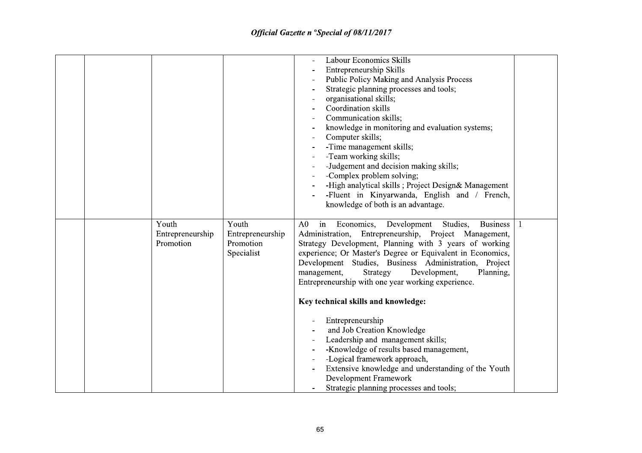|  |                                        |                                                      | <b>Labour Economics Skills</b><br>Entrepreneurship Skills<br>Public Policy Making and Analysis Process<br>Strategic planning processes and tools;<br>organisational skills;<br>Coordination skills<br>Communication skills;<br>knowledge in monitoring and evaluation systems;<br>Computer skills;<br>-Time management skills;<br>-Team working skills;<br>-Judgement and decision making skills;<br>-Complex problem solving;<br>-High analytical skills; Project Design& Management<br>-Fluent in Kinyarwanda, English and / French,<br>knowledge of both is an advantage.                                                                                                                                                                              |  |
|--|----------------------------------------|------------------------------------------------------|-----------------------------------------------------------------------------------------------------------------------------------------------------------------------------------------------------------------------------------------------------------------------------------------------------------------------------------------------------------------------------------------------------------------------------------------------------------------------------------------------------------------------------------------------------------------------------------------------------------------------------------------------------------------------------------------------------------------------------------------------------------|--|
|  | Youth<br>Entrepreneurship<br>Promotion | Youth<br>Entrepreneurship<br>Promotion<br>Specialist | Economics, Development Studies,<br>in<br><b>Business</b><br>A0<br>Administration, Entrepreneurship, Project Management,<br>Strategy Development, Planning with 3 years of working<br>experience; Or Master's Degree or Equivalent in Economics,<br>Development Studies, Business Administration, Project<br>Strategy<br>Development,<br>management,<br>Planning,<br>Entrepreneurship with one year working experience.<br>Key technical skills and knowledge:<br>Entrepreneurship<br>and Job Creation Knowledge<br>Leadership and management skills;<br>-Knowledge of results based management,<br>-Logical framework approach,<br>Extensive knowledge and understanding of the Youth<br>Development Framework<br>Strategic planning processes and tools; |  |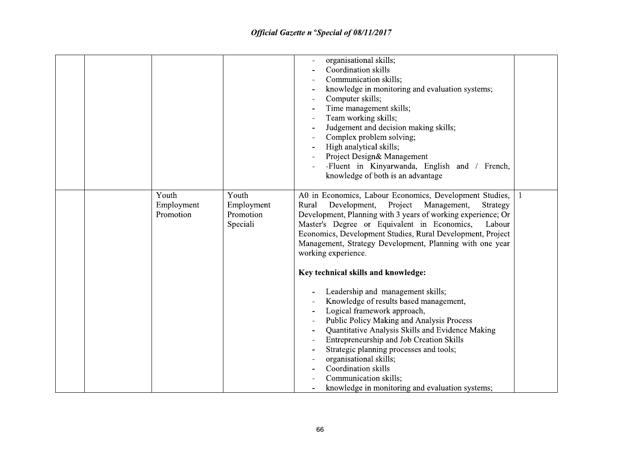|                                  |                                              | organisational skills;<br>Coordination skills<br>Communication skills;<br>knowledge in monitoring and evaluation systems;<br>Computer skills;<br>Time management skills;<br>Team working skills;<br>Judgement and decision making skills;<br>Complex problem solving;<br>High analytical skills;<br>Project Design& Management<br>-Fluent in Kinyarwanda, English and / French,<br>knowledge of both is an advantage                                                   |  |
|----------------------------------|----------------------------------------------|------------------------------------------------------------------------------------------------------------------------------------------------------------------------------------------------------------------------------------------------------------------------------------------------------------------------------------------------------------------------------------------------------------------------------------------------------------------------|--|
| Youth<br>Employment<br>Promotion | Youth<br>Employment<br>Promotion<br>Speciali | A0 in Economics, Labour Economics, Development Studies,<br>Development, Project<br>Management,<br>Rural<br>Strategy<br>Development, Planning with 3 years of working experience; Or<br>Master's Degree or Equivalent in Economics,<br>Labour<br>Economics, Development Studies, Rural Development, Project<br>Management, Strategy Development, Planning with one year<br>working experience.                                                                          |  |
|                                  |                                              | Key technical skills and knowledge:<br>Leadership and management skills;<br>Knowledge of results based management,<br>Logical framework approach,<br>Public Policy Making and Analysis Process<br>Quantitative Analysis Skills and Evidence Making<br>Entrepreneurship and Job Creation Skills<br>Strategic planning processes and tools;<br>organisational skills;<br>Coordination skills<br>Communication skills;<br>knowledge in monitoring and evaluation systems; |  |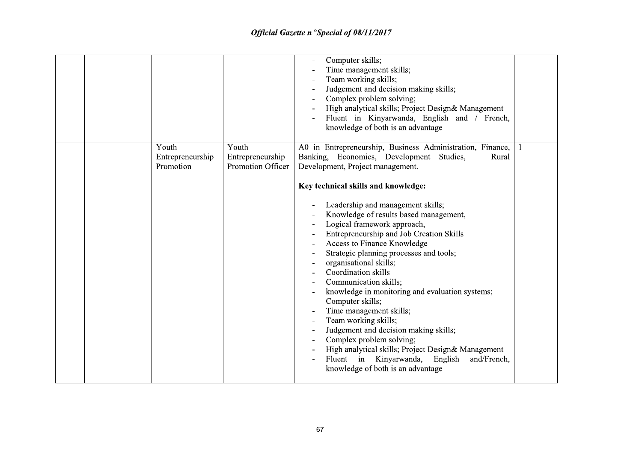|                                        |                                                | Computer skills;<br>Time management skills;<br>Team working skills;<br>Judgement and decision making skills;<br>Complex problem solving;<br>High analytical skills; Project Design& Management<br>Fluent in Kinyarwanda, English and / French,<br>knowledge of both is an advantage                                                                                                                                                                                                                                                                                                                                                                                                                                                                                                                                                                |  |
|----------------------------------------|------------------------------------------------|----------------------------------------------------------------------------------------------------------------------------------------------------------------------------------------------------------------------------------------------------------------------------------------------------------------------------------------------------------------------------------------------------------------------------------------------------------------------------------------------------------------------------------------------------------------------------------------------------------------------------------------------------------------------------------------------------------------------------------------------------------------------------------------------------------------------------------------------------|--|
| Youth<br>Entrepreneurship<br>Promotion | Youth<br>Entrepreneurship<br>Promotion Officer | A0 in Entrepreneurship, Business Administration, Finance,<br>Banking, Economics, Development Studies,<br>Rural<br>Development, Project management.<br>Key technical skills and knowledge:<br>Leadership and management skills;<br>Knowledge of results based management,<br>Logical framework approach,<br>Entrepreneurship and Job Creation Skills<br>Access to Finance Knowledge<br>Strategic planning processes and tools;<br>organisational skills;<br>Coordination skills<br>Communication skills;<br>knowledge in monitoring and evaluation systems;<br>Computer skills;<br>Time management skills;<br>Team working skills;<br>Judgement and decision making skills;<br>Complex problem solving;<br>High analytical skills; Project Design& Management<br>Fluent in Kinyarwanda, English<br>and/French,<br>knowledge of both is an advantage |  |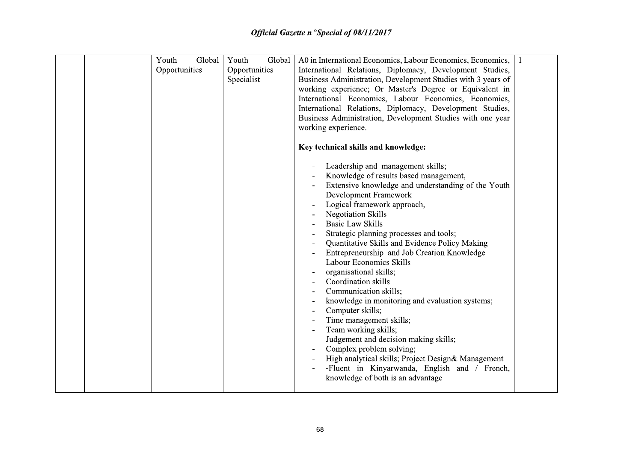| Youth<br>Global | Youth<br>Global | A0 in International Economics, Labour Economics, Economics,                                         |  |
|-----------------|-----------------|-----------------------------------------------------------------------------------------------------|--|
| Opportunities   | Opportunities   | International Relations, Diplomacy, Development Studies,                                            |  |
|                 | Specialist      | Business Administration, Development Studies with 3 years of                                        |  |
|                 |                 | working experience; Or Master's Degree or Equivalent in                                             |  |
|                 |                 | International Economics, Labour Economics, Economics,                                               |  |
|                 |                 | International Relations, Diplomacy, Development Studies,                                            |  |
|                 |                 | Business Administration, Development Studies with one year                                          |  |
|                 |                 | working experience.                                                                                 |  |
|                 |                 |                                                                                                     |  |
|                 |                 | Key technical skills and knowledge:                                                                 |  |
|                 |                 | Leadership and management skills;                                                                   |  |
|                 |                 | Knowledge of results based management,                                                              |  |
|                 |                 | Extensive knowledge and understanding of the Youth                                                  |  |
|                 |                 | Development Framework                                                                               |  |
|                 |                 | Logical framework approach,                                                                         |  |
|                 |                 | <b>Negotiation Skills</b>                                                                           |  |
|                 |                 | <b>Basic Law Skills</b>                                                                             |  |
|                 |                 | Strategic planning processes and tools;                                                             |  |
|                 |                 | Quantitative Skills and Evidence Policy Making                                                      |  |
|                 |                 | Entrepreneurship and Job Creation Knowledge                                                         |  |
|                 |                 | Labour Economics Skills                                                                             |  |
|                 |                 | organisational skills;                                                                              |  |
|                 |                 | Coordination skills                                                                                 |  |
|                 |                 | Communication skills;                                                                               |  |
|                 |                 | knowledge in monitoring and evaluation systems;                                                     |  |
|                 |                 | Computer skills;                                                                                    |  |
|                 |                 | Time management skills;                                                                             |  |
|                 |                 | Team working skills;                                                                                |  |
|                 |                 | Judgement and decision making skills;                                                               |  |
|                 |                 | Complex problem solving;                                                                            |  |
|                 |                 | High analytical skills; Project Design& Management<br>-Fluent in Kinyarwanda, English and / French, |  |
|                 |                 | knowledge of both is an advantage                                                                   |  |
|                 |                 |                                                                                                     |  |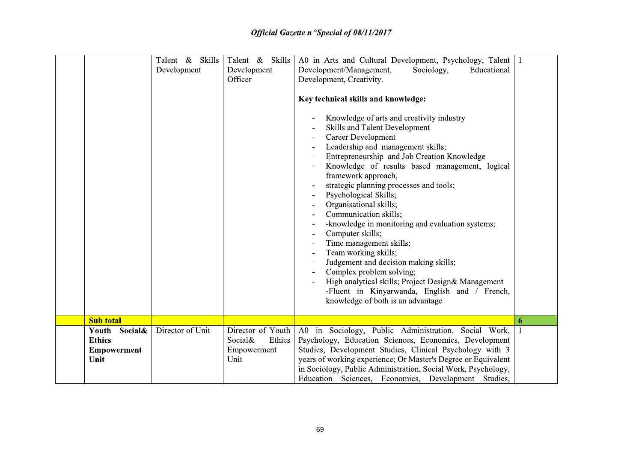|                                                                 | Talent & Skills<br>Development | Talent & Skills<br>Development<br>Officer                     | A0 in Arts and Cultural Development, Psychology, Talent<br>Development/Management,<br>Sociology,<br>Educational<br>Development, Creativity.<br>Key technical skills and knowledge:<br>Knowledge of arts and creativity industry<br>Skills and Talent Development<br><b>Career Development</b><br>Leadership and management skills;<br>Entrepreneurship and Job Creation Knowledge<br>Knowledge of results based management, logical<br>framework approach,<br>strategic planning processes and tools;<br>Psychological Skills;<br>$\overline{\phantom{a}}$<br>Organisational skills;<br>Communication skills;<br>-knowledge in monitoring and evaluation systems;<br>Computer skills;<br>Time management skills;<br>Team working skills;<br>$\qquad \qquad \blacksquare$<br>Judgement and decision making skills;<br>Complex problem solving;<br>High analytical skills; Project Design& Management<br>-Fluent in Kinyarwanda, English and / French,<br>knowledge of both is an advantage | $\mathbf{1}$ |
|-----------------------------------------------------------------|--------------------------------|---------------------------------------------------------------|-------------------------------------------------------------------------------------------------------------------------------------------------------------------------------------------------------------------------------------------------------------------------------------------------------------------------------------------------------------------------------------------------------------------------------------------------------------------------------------------------------------------------------------------------------------------------------------------------------------------------------------------------------------------------------------------------------------------------------------------------------------------------------------------------------------------------------------------------------------------------------------------------------------------------------------------------------------------------------------------|--------------|
| <b>Sub total</b>                                                |                                |                                                               |                                                                                                                                                                                                                                                                                                                                                                                                                                                                                                                                                                                                                                                                                                                                                                                                                                                                                                                                                                                           | 6            |
| Social&<br>Youth<br><b>Ethics</b><br><b>Empowerment</b><br>Unit | Director of Unit               | Director of Youth<br>Social&<br>Ethics<br>Empowerment<br>Unit | A0 in Sociology, Public Administration, Social Work,<br>Psychology, Education Sciences, Economics, Development<br>Studies, Development Studies, Clinical Psychology with 3<br>years of working experience; Or Master's Degree or Equivalent<br>in Sociology, Public Administration, Social Work, Psychology,<br>Education Sciences, Economics, Development Studies,                                                                                                                                                                                                                                                                                                                                                                                                                                                                                                                                                                                                                       |              |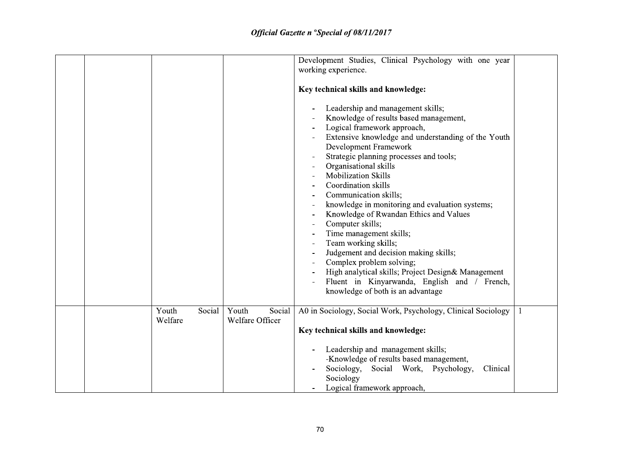|  |                            |                                    | Development Studies, Clinical Psychology with one year<br>working experience.<br>Key technical skills and knowledge:<br>Leadership and management skills;<br>Knowledge of results based management,<br>Logical framework approach,<br>Extensive knowledge and understanding of the Youth<br>Development Framework<br>Strategic planning processes and tools;<br>Organisational skills<br><b>Mobilization Skills</b><br>Coordination skills<br>Communication skills;<br>knowledge in monitoring and evaluation systems;<br>Knowledge of Rwandan Ethics and Values<br>Computer skills;<br>Time management skills;<br>Team working skills;<br>Judgement and decision making skills;<br>Complex problem solving;<br>High analytical skills; Project Design& Management<br>Fluent in Kinyarwanda, English and / French,<br>knowledge of both is an advantage |   |
|--|----------------------------|------------------------------------|---------------------------------------------------------------------------------------------------------------------------------------------------------------------------------------------------------------------------------------------------------------------------------------------------------------------------------------------------------------------------------------------------------------------------------------------------------------------------------------------------------------------------------------------------------------------------------------------------------------------------------------------------------------------------------------------------------------------------------------------------------------------------------------------------------------------------------------------------------|---|
|  | Social<br>Youth<br>Welfare | Youth<br>Social<br>Welfare Officer | A0 in Sociology, Social Work, Psychology, Clinical Sociology<br>Key technical skills and knowledge:                                                                                                                                                                                                                                                                                                                                                                                                                                                                                                                                                                                                                                                                                                                                                     | 1 |
|  |                            |                                    | Leadership and management skills;<br>-Knowledge of results based management,<br>Social Work, Psychology,<br>Sociology,<br>Clinical<br>Sociology<br>Logical framework approach,                                                                                                                                                                                                                                                                                                                                                                                                                                                                                                                                                                                                                                                                          |   |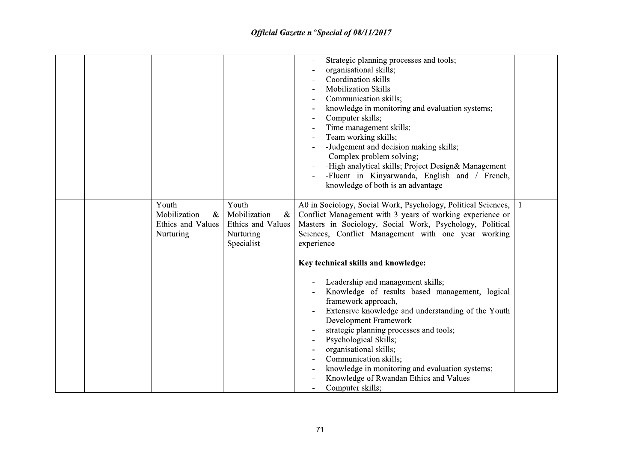|  |                                                                 |                                                                               | Strategic planning processes and tools;<br>organisational skills;<br>Coordination skills<br><b>Mobilization Skills</b><br>Communication skills;<br>knowledge in monitoring and evaluation systems;<br>Computer skills;<br>Time management skills;<br>Team working skills;<br>-Judgement and decision making skills;<br>-Complex problem solving;<br>-High analytical skills; Project Design& Management<br>-Fluent in Kinyarwanda, English and / French,<br>knowledge of both is an advantage |  |
|--|-----------------------------------------------------------------|-------------------------------------------------------------------------------|-----------------------------------------------------------------------------------------------------------------------------------------------------------------------------------------------------------------------------------------------------------------------------------------------------------------------------------------------------------------------------------------------------------------------------------------------------------------------------------------------|--|
|  | Youth<br>Mobilization<br>$\&$<br>Ethics and Values<br>Nurturing | Youth<br>Mobilization<br>$\&$<br>Ethics and Values<br>Nurturing<br>Specialist | A0 in Sociology, Social Work, Psychology, Political Sciences,<br>Conflict Management with 3 years of working experience or<br>Masters in Sociology, Social Work, Psychology, Political<br>Sciences, Conflict Management with one year working<br>experience                                                                                                                                                                                                                                   |  |
|  |                                                                 |                                                                               | Key technical skills and knowledge:<br>Leadership and management skills;<br>Knowledge of results based management, logical<br>framework approach,<br>Extensive knowledge and understanding of the Youth<br>Development Framework<br>strategic planning processes and tools;<br>Psychological Skills;<br>organisational skills;<br>Communication skills;<br>knowledge in monitoring and evaluation systems;<br>Knowledge of Rwandan Ethics and Values<br>Computer skills;                      |  |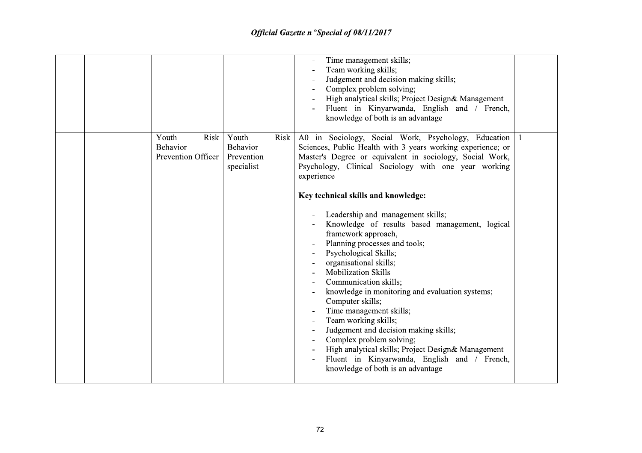|                                                        |                                                       | Time management skills;<br>Team working skills;<br>Judgement and decision making skills;<br>Complex problem solving;<br>High analytical skills; Project Design& Management<br>Fluent in Kinyarwanda, English and / French,<br>knowledge of both is an advantage                                                                                                                                                                                                                                                                                                                                                                                                                                                                                                                                                                                                                                |                |
|--------------------------------------------------------|-------------------------------------------------------|------------------------------------------------------------------------------------------------------------------------------------------------------------------------------------------------------------------------------------------------------------------------------------------------------------------------------------------------------------------------------------------------------------------------------------------------------------------------------------------------------------------------------------------------------------------------------------------------------------------------------------------------------------------------------------------------------------------------------------------------------------------------------------------------------------------------------------------------------------------------------------------------|----------------|
| Youth<br>Risk<br><b>Behavior</b><br>Prevention Officer | Youth<br>Risk<br>Behavior<br>Prevention<br>specialist | A0 in Sociology, Social Work, Psychology, Education<br>Sciences, Public Health with 3 years working experience; or<br>Master's Degree or equivalent in sociology, Social Work,<br>Psychology, Clinical Sociology with one year working<br>experience<br>Key technical skills and knowledge:<br>Leadership and management skills;<br>Knowledge of results based management, logical<br>framework approach,<br>Planning processes and tools;<br>Psychological Skills;<br>organisational skills;<br><b>Mobilization Skills</b><br>Communication skills;<br>knowledge in monitoring and evaluation systems;<br>Computer skills;<br>Time management skills;<br>Team working skills;<br>Judgement and decision making skills;<br>Complex problem solving;<br>High analytical skills; Project Design& Management<br>Fluent in Kinyarwanda, English and / French,<br>knowledge of both is an advantage | $\overline{1}$ |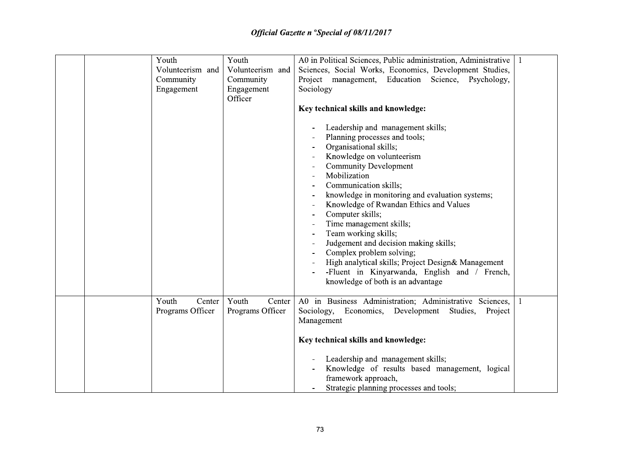| Youth                     |                  | Youth                               | A0 in Political Sciences, Public administration, Administrative                                                                                                                                                                                                                                                                                                                                                                                                                                                                                                                                                     |  |
|---------------------------|------------------|-------------------------------------|---------------------------------------------------------------------------------------------------------------------------------------------------------------------------------------------------------------------------------------------------------------------------------------------------------------------------------------------------------------------------------------------------------------------------------------------------------------------------------------------------------------------------------------------------------------------------------------------------------------------|--|
|                           | Volunteerism and | Volunteerism and                    | Sciences, Social Works, Economics, Development Studies,                                                                                                                                                                                                                                                                                                                                                                                                                                                                                                                                                             |  |
| Community                 |                  | Community                           | Project management, Education Science, Psychology,                                                                                                                                                                                                                                                                                                                                                                                                                                                                                                                                                                  |  |
| Engagement                |                  | Engagement                          | Sociology                                                                                                                                                                                                                                                                                                                                                                                                                                                                                                                                                                                                           |  |
|                           |                  | Officer                             |                                                                                                                                                                                                                                                                                                                                                                                                                                                                                                                                                                                                                     |  |
|                           |                  |                                     | Key technical skills and knowledge:                                                                                                                                                                                                                                                                                                                                                                                                                                                                                                                                                                                 |  |
|                           |                  |                                     | Leadership and management skills;<br>Planning processes and tools;<br>Organisational skills;<br>Knowledge on volunteerism<br><b>Community Development</b><br>Mobilization<br>Communication skills;<br>knowledge in monitoring and evaluation systems;<br>Knowledge of Rwandan Ethics and Values<br>Computer skills;<br>Time management skills;<br>Team working skills;<br>Judgement and decision making skills;<br>Complex problem solving;<br>$\overline{\phantom{a}}$<br>High analytical skills; Project Design& Management<br>-Fluent in Kinyarwanda, English and / French,<br>knowledge of both is an advantage |  |
|                           |                  |                                     |                                                                                                                                                                                                                                                                                                                                                                                                                                                                                                                                                                                                                     |  |
| Youth<br>Programs Officer | Center           | Youth<br>Center<br>Programs Officer | A0 in Business Administration; Administrative Sciences,<br>Sociology,<br>Economics, Development<br>Studies,<br>Project<br>Management                                                                                                                                                                                                                                                                                                                                                                                                                                                                                |  |
|                           |                  |                                     | Key technical skills and knowledge:                                                                                                                                                                                                                                                                                                                                                                                                                                                                                                                                                                                 |  |
|                           |                  |                                     | Leadership and management skills;<br>Knowledge of results based management, logical<br>framework approach,<br>Strategic planning processes and tools;                                                                                                                                                                                                                                                                                                                                                                                                                                                               |  |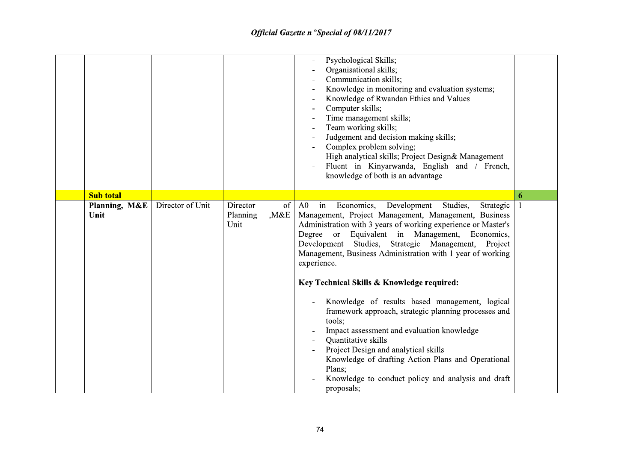|                       |                  |                                            | Psychological Skills;<br>Organisational skills;<br>Communication skills;<br>Knowledge in monitoring and evaluation systems;<br>Knowledge of Rwandan Ethics and Values<br>Computer skills;<br>Time management skills;<br>Team working skills;<br>Judgement and decision making skills;<br>Complex problem solving;<br>High analytical skills; Project Design& Management<br>Fluent in Kinyarwanda, English and / French,<br>knowledge of both is an advantage                                                                                                                                                                                                                                                                                                                                        |   |
|-----------------------|------------------|--------------------------------------------|-----------------------------------------------------------------------------------------------------------------------------------------------------------------------------------------------------------------------------------------------------------------------------------------------------------------------------------------------------------------------------------------------------------------------------------------------------------------------------------------------------------------------------------------------------------------------------------------------------------------------------------------------------------------------------------------------------------------------------------------------------------------------------------------------------|---|
| <b>Sub total</b>      |                  |                                            |                                                                                                                                                                                                                                                                                                                                                                                                                                                                                                                                                                                                                                                                                                                                                                                                     | 6 |
| Planning, M&E<br>Unit | Director of Unit | Director<br>of<br>,M&E<br>Planning<br>Unit | Economics, Development<br>Studies,<br>A0<br>$\dot{m}$<br>Strategic<br>Management, Project Management, Management, Business<br>Administration with 3 years of working experience or Master's<br>Degree or Equivalent in Management, Economics,<br>Development Studies, Strategic Management, Project<br>Management, Business Administration with 1 year of working<br>experience.<br>Key Technical Skills & Knowledge required:<br>Knowledge of results based management, logical<br>framework approach, strategic planning processes and<br>tools;<br>Impact assessment and evaluation knowledge<br>Quantitative skills<br>Project Design and analytical skills<br>Knowledge of drafting Action Plans and Operational<br>Plans;<br>Knowledge to conduct policy and analysis and draft<br>proposals; |   |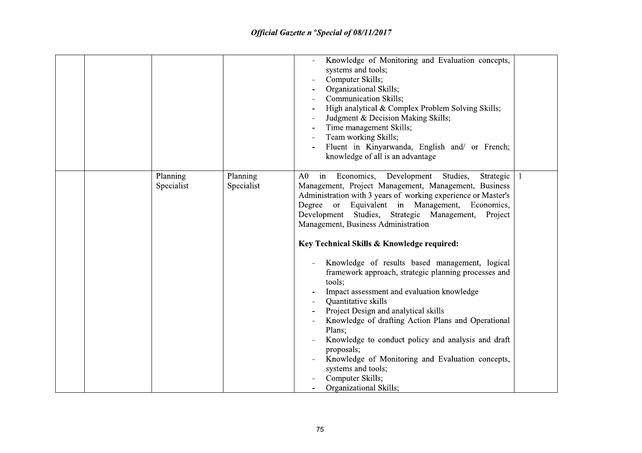|                        |                        | Knowledge of Monitoring and Evaluation concepts,<br>systems and tools;<br>Computer Skills;<br>Organizational Skills;<br><b>Communication Skills;</b><br>High analytical & Complex Problem Solving Skills;<br>Judgment & Decision Making Skills;<br>Time management Skills;<br>Team working Skills;<br>Fluent in Kinyarwanda, English and/ or French;<br>knowledge of all is an advantage                                                                                                                                                                                                                                                                                                                                                                                                                                                                                                         |    |
|------------------------|------------------------|--------------------------------------------------------------------------------------------------------------------------------------------------------------------------------------------------------------------------------------------------------------------------------------------------------------------------------------------------------------------------------------------------------------------------------------------------------------------------------------------------------------------------------------------------------------------------------------------------------------------------------------------------------------------------------------------------------------------------------------------------------------------------------------------------------------------------------------------------------------------------------------------------|----|
| Planning<br>Specialist | Planning<br>Specialist | Economics, Development<br>Studies,<br>A <sub>0</sub><br>in<br>Strategic<br>Management, Project Management, Management, Business<br>Administration with 3 years of working experience or Master's<br>Degree or<br>Equivalent in Management, Economics,<br>Development Studies, Strategic Management,<br>Project<br>Management, Business Administration<br>Key Technical Skills & Knowledge required:<br>Knowledge of results based management, logical<br>framework approach, strategic planning processes and<br>tools:<br>Impact assessment and evaluation knowledge<br>Quantitative skills<br>Project Design and analytical skills<br>Knowledge of drafting Action Plans and Operational<br>Plans;<br>Knowledge to conduct policy and analysis and draft<br>proposals;<br>Knowledge of Monitoring and Evaluation concepts,<br>systems and tools;<br>Computer Skills;<br>Organizational Skills; | -1 |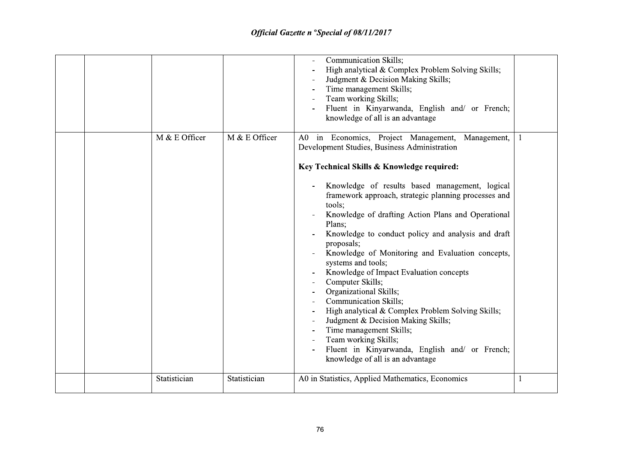|  |               |               | <b>Communication Skills;</b><br>High analytical & Complex Problem Solving Skills;<br>Judgment & Decision Making Skills;<br>Time management Skills;<br>Team working Skills;<br>Fluent in Kinyarwanda, English and/ or French;<br>knowledge of all is an advantage                                                                                                                                                                                                                                                                                                                                                                                                                            |   |
|--|---------------|---------------|---------------------------------------------------------------------------------------------------------------------------------------------------------------------------------------------------------------------------------------------------------------------------------------------------------------------------------------------------------------------------------------------------------------------------------------------------------------------------------------------------------------------------------------------------------------------------------------------------------------------------------------------------------------------------------------------|---|
|  | M & E Officer | M & E Officer | A0 in Economics, Project Management,<br>Management,<br>Development Studies, Business Administration<br>Key Technical Skills & Knowledge required:                                                                                                                                                                                                                                                                                                                                                                                                                                                                                                                                           | 1 |
|  |               |               | Knowledge of results based management, logical<br>framework approach, strategic planning processes and<br>tools;<br>Knowledge of drafting Action Plans and Operational<br>Plans;<br>Knowledge to conduct policy and analysis and draft<br>proposals;<br>Knowledge of Monitoring and Evaluation concepts,<br>systems and tools;<br>Knowledge of Impact Evaluation concepts<br>Computer Skills;<br>Organizational Skills;<br><b>Communication Skills;</b><br>High analytical & Complex Problem Solving Skills;<br>Judgment & Decision Making Skills;<br>Time management Skills;<br>Team working Skills;<br>Fluent in Kinyarwanda, English and/ or French;<br>knowledge of all is an advantage |   |
|  | Statistician  | Statistician  | A0 in Statistics, Applied Mathematics, Economics                                                                                                                                                                                                                                                                                                                                                                                                                                                                                                                                                                                                                                            | 1 |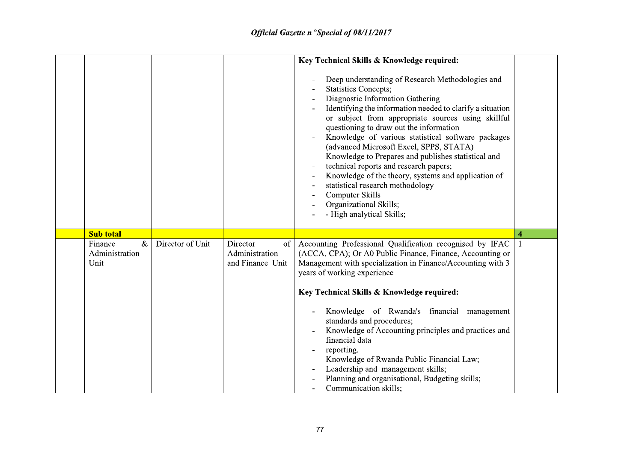|                                                               |                  |                                                      | Key Technical Skills & Knowledge required:<br>Deep understanding of Research Methodologies and<br><b>Statistics Concepts;</b><br>Diagnostic Information Gathering<br>Identifying the information needed to clarify a situation<br>or subject from appropriate sources using skillful<br>questioning to draw out the information<br>Knowledge of various statistical software packages<br>$\blacksquare$<br>(advanced Microsoft Excel, SPPS, STATA)<br>Knowledge to Prepares and publishes statistical and<br>technical reports and research papers;<br>Knowledge of the theory, systems and application of<br>statistical research methodology<br>Computer Skills<br>Organizational Skills, |                         |
|---------------------------------------------------------------|------------------|------------------------------------------------------|---------------------------------------------------------------------------------------------------------------------------------------------------------------------------------------------------------------------------------------------------------------------------------------------------------------------------------------------------------------------------------------------------------------------------------------------------------------------------------------------------------------------------------------------------------------------------------------------------------------------------------------------------------------------------------------------|-------------------------|
| <b>Sub total</b><br>$\&$<br>Finance<br>Administration<br>Unit | Director of Unit | of<br>Director<br>Administration<br>and Finance Unit | - High analytical Skills;<br>Accounting Professional Qualification recognised by IFAC<br>(ACCA, CPA); Or A0 Public Finance, Finance, Accounting or<br>Management with specialization in Finance/Accounting with 3<br>years of working experience                                                                                                                                                                                                                                                                                                                                                                                                                                            | $\overline{\mathbf{4}}$ |
|                                                               |                  |                                                      | Key Technical Skills & Knowledge required:<br>Knowledge of Rwanda's financial management<br>$\overline{\phantom{0}}$<br>standards and procedures;<br>Knowledge of Accounting principles and practices and<br>financial data<br>reporting.<br>Knowledge of Rwanda Public Financial Law;<br>Leadership and management skills;<br>Planning and organisational, Budgeting skills;<br>Communication skills;                                                                                                                                                                                                                                                                                      |                         |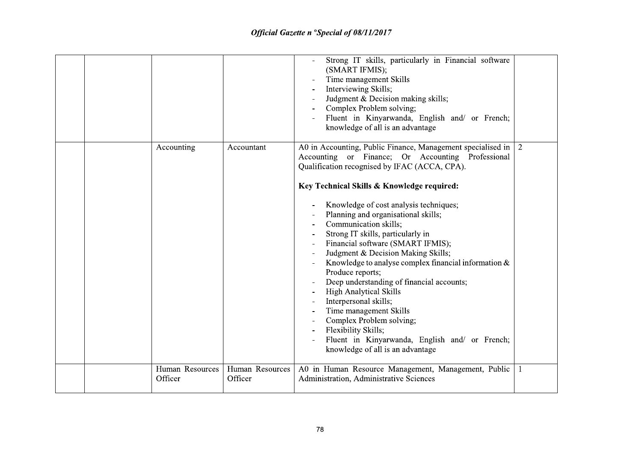|  |                            |                            | Strong IT skills, particularly in Financial software<br>(SMART IFMIS);<br>Time management Skills<br>Interviewing Skills;<br>Judgment & Decision making skills;<br>Complex Problem solving;<br>Fluent in Kinyarwanda, English and/ or French;<br>knowledge of all is an advantage                                                                                                                                                                                                                                                                                                                                                                                                                                                                                                         |    |
|--|----------------------------|----------------------------|------------------------------------------------------------------------------------------------------------------------------------------------------------------------------------------------------------------------------------------------------------------------------------------------------------------------------------------------------------------------------------------------------------------------------------------------------------------------------------------------------------------------------------------------------------------------------------------------------------------------------------------------------------------------------------------------------------------------------------------------------------------------------------------|----|
|  | Accounting                 | Accountant                 | A0 in Accounting, Public Finance, Management specialised in<br>Accounting or Finance; Or Accounting Professional<br>Qualification recognised by IFAC (ACCA, CPA).<br>Key Technical Skills & Knowledge required:<br>Knowledge of cost analysis techniques;<br>Planning and organisational skills;<br>Communication skills;<br>Strong IT skills, particularly in<br>Financial software (SMART IFMIS);<br>Judgment & Decision Making Skills;<br>Knowledge to analyse complex financial information &<br>Produce reports;<br>Deep understanding of financial accounts;<br>High Analytical Skills<br>Interpersonal skills;<br>Time management Skills<br>Complex Problem solving;<br>Flexibility Skills;<br>Fluent in Kinyarwanda, English and/ or French;<br>knowledge of all is an advantage | 2  |
|  | Human Resources<br>Officer | Human Resources<br>Officer | A0 in Human Resource Management, Management, Public<br>Administration, Administrative Sciences                                                                                                                                                                                                                                                                                                                                                                                                                                                                                                                                                                                                                                                                                           | -1 |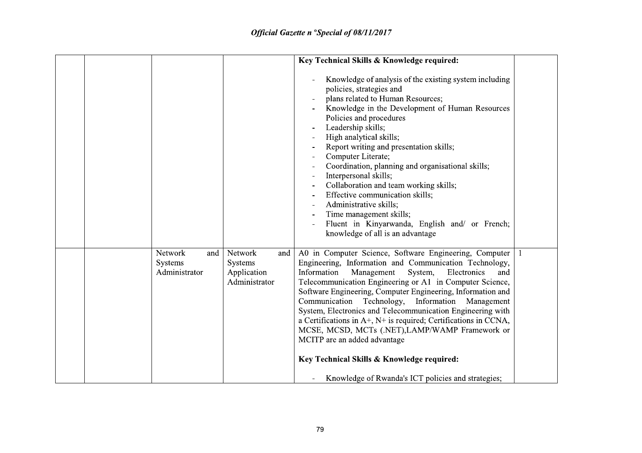|  |                                            |                                                           | Key Technical Skills & Knowledge required:                                                                                                                                                                                                                                                                                                                                                                                                                                                                                                                                                                                                                                                          |  |
|--|--------------------------------------------|-----------------------------------------------------------|-----------------------------------------------------------------------------------------------------------------------------------------------------------------------------------------------------------------------------------------------------------------------------------------------------------------------------------------------------------------------------------------------------------------------------------------------------------------------------------------------------------------------------------------------------------------------------------------------------------------------------------------------------------------------------------------------------|--|
|  |                                            |                                                           | Knowledge of analysis of the existing system including<br>policies, strategies and<br>plans related to Human Resources;<br>Knowledge in the Development of Human Resources<br>Policies and procedures<br>Leadership skills;<br>High analytical skills;<br>Report writing and presentation skills;<br>Computer Literate;<br>Coordination, planning and organisational skills;<br>Interpersonal skills;<br>Collaboration and team working skills;<br>Effective communication skills;<br>Administrative skills;<br>Time management skills;<br>Fluent in Kinyarwanda, English and/ or French;<br>knowledge of all is an advantage                                                                       |  |
|  | Network<br>and<br>Systems<br>Administrator | Network<br>and<br>Systems<br>Application<br>Administrator | A0 in Computer Science, Software Engineering, Computer   1<br>Engineering, Information and Communication Technology,<br>Information<br>Management<br>System,<br>Electronics<br>and<br>Telecommunication Engineering or A1 in Computer Science,<br>Software Engineering, Computer Engineering, Information and<br>Communication Technology, Information<br>Management<br>System, Electronics and Telecommunication Engineering with<br>a Certifications in $A^+$ , $N^+$ is required; Certifications in CCNA,<br>MCSE, MCSD, MCTs (.NET), LAMP/WAMP Framework or<br>MCITP are an added advantage<br>Key Technical Skills & Knowledge required:<br>Knowledge of Rwanda's ICT policies and strategies; |  |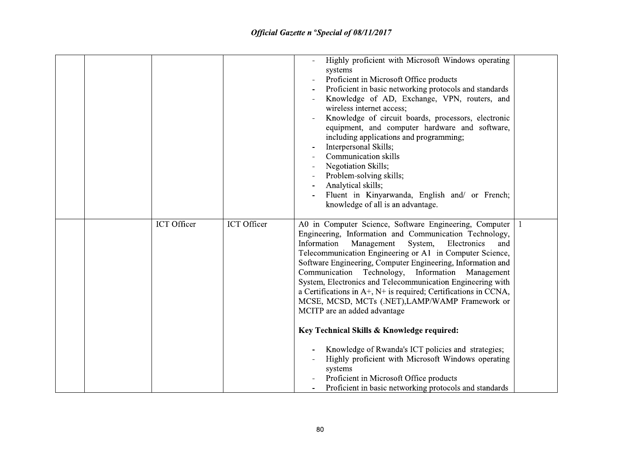|  |             |             | Highly proficient with Microsoft Windows operating<br>systems<br>Proficient in Microsoft Office products<br>Proficient in basic networking protocols and standards<br>Knowledge of AD, Exchange, VPN, routers, and<br>wireless internet access;<br>Knowledge of circuit boards, processors, electronic<br>equipment, and computer hardware and software,<br>including applications and programming;<br>Interpersonal Skills;<br>Communication skills<br>Negotiation Skills;<br>Problem-solving skills;<br>Analytical skills;<br>Fluent in Kinyarwanda, English and/ or French;<br>knowledge of all is an advantage.                                                                                                                                                                                                                                                   |    |
|--|-------------|-------------|-----------------------------------------------------------------------------------------------------------------------------------------------------------------------------------------------------------------------------------------------------------------------------------------------------------------------------------------------------------------------------------------------------------------------------------------------------------------------------------------------------------------------------------------------------------------------------------------------------------------------------------------------------------------------------------------------------------------------------------------------------------------------------------------------------------------------------------------------------------------------|----|
|  | ICT Officer | ICT Officer | A0 in Computer Science, Software Engineering, Computer<br>Engineering, Information and Communication Technology,<br>Information<br>Electronics<br>Management<br>System,<br>and<br>Telecommunication Engineering or A1 in Computer Science,<br>Software Engineering, Computer Engineering, Information and<br>Communication Technology, Information<br>Management<br>System, Electronics and Telecommunication Engineering with<br>a Certifications in $A^+$ , $N^+$ is required; Certifications in CCNA,<br>MCSE, MCSD, MCTs (.NET), LAMP/WAMP Framework or<br>MCITP are an added advantage<br>Key Technical Skills & Knowledge required:<br>Knowledge of Rwanda's ICT policies and strategies;<br>Highly proficient with Microsoft Windows operating<br>systems<br>Proficient in Microsoft Office products<br>Proficient in basic networking protocols and standards | -1 |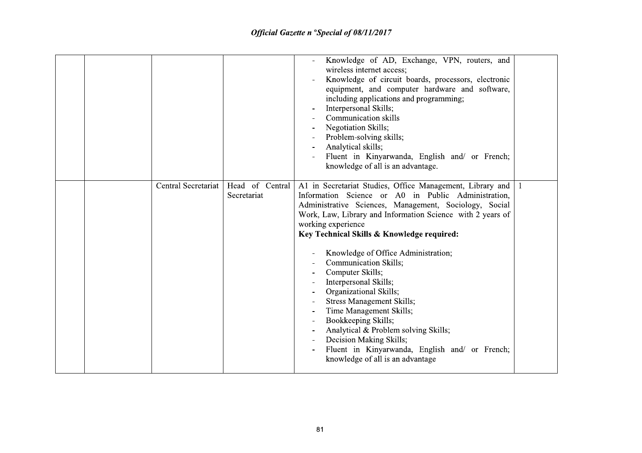|                     |                                | Knowledge of AD, Exchange, VPN, routers, and<br>wireless internet access;<br>Knowledge of circuit boards, processors, electronic<br>equipment, and computer hardware and software,<br>including applications and programming;<br>Interpersonal Skills;<br>Communication skills<br>Negotiation Skills;<br>Problem-solving skills;<br>Analytical skills;<br>Fluent in Kinyarwanda, English and/ or French;<br>knowledge of all is an advantage.                                                                                                                                                                                                                                                             |  |
|---------------------|--------------------------------|-----------------------------------------------------------------------------------------------------------------------------------------------------------------------------------------------------------------------------------------------------------------------------------------------------------------------------------------------------------------------------------------------------------------------------------------------------------------------------------------------------------------------------------------------------------------------------------------------------------------------------------------------------------------------------------------------------------|--|
| Central Secretariat | Head of Central<br>Secretariat | A1 in Secretariat Studies, Office Management, Library and<br>Information Science or A0 in Public Administration,<br>Administrative Sciences, Management, Sociology, Social<br>Work, Law, Library and Information Science with 2 years of<br>working experience<br>Key Technical Skills & Knowledge required:<br>Knowledge of Office Administration;<br><b>Communication Skills;</b><br>Computer Skills;<br>Interpersonal Skills;<br>Organizational Skills;<br><b>Stress Management Skills;</b><br>Time Management Skills;<br>Bookkeeping Skills;<br>Analytical & Problem solving Skills;<br>Decision Making Skills;<br>Fluent in Kinyarwanda, English and/ or French;<br>knowledge of all is an advantage |  |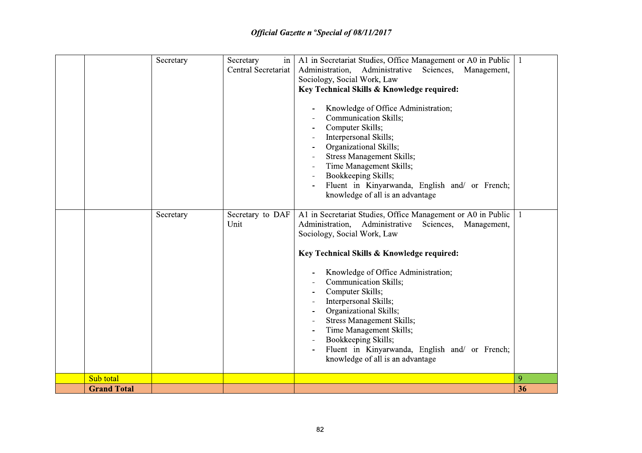|                    | Secretary | Secretary<br>in          | A1 in Secretariat Studies, Office Management or A0 in Public                                                                                                                                                                                                                                                                                                                                                                                                                                                                                                                                                                                |    |
|--------------------|-----------|--------------------------|---------------------------------------------------------------------------------------------------------------------------------------------------------------------------------------------------------------------------------------------------------------------------------------------------------------------------------------------------------------------------------------------------------------------------------------------------------------------------------------------------------------------------------------------------------------------------------------------------------------------------------------------|----|
|                    |           | Central Secretariat      | Administration,<br>Administrative Sciences, Management,                                                                                                                                                                                                                                                                                                                                                                                                                                                                                                                                                                                     |    |
|                    |           |                          | Sociology, Social Work, Law                                                                                                                                                                                                                                                                                                                                                                                                                                                                                                                                                                                                                 |    |
|                    |           |                          | Key Technical Skills & Knowledge required:                                                                                                                                                                                                                                                                                                                                                                                                                                                                                                                                                                                                  |    |
|                    | Secretary | Secretary to DAF<br>Unit | Knowledge of Office Administration;<br><b>Communication Skills;</b><br>Computer Skills;<br>Interpersonal Skills;<br>Organizational Skills;<br><b>Stress Management Skills;</b><br>Time Management Skills;<br>Bookkeeping Skills;<br>Fluent in Kinyarwanda, English and/ or French;<br>knowledge of all is an advantage<br>A1 in Secretariat Studies, Office Management or A0 in Public<br>Administration, Administrative Sciences,<br>Management,<br>Sociology, Social Work, Law<br>Key Technical Skills & Knowledge required:<br>Knowledge of Office Administration;<br>Communication Skills;<br>Computer Skills;<br>Interpersonal Skills; |    |
|                    |           |                          | Organizational Skills;<br><b>Stress Management Skills;</b>                                                                                                                                                                                                                                                                                                                                                                                                                                                                                                                                                                                  |    |
|                    |           |                          | Time Management Skills;                                                                                                                                                                                                                                                                                                                                                                                                                                                                                                                                                                                                                     |    |
|                    |           |                          | Bookkeeping Skills;                                                                                                                                                                                                                                                                                                                                                                                                                                                                                                                                                                                                                         |    |
|                    |           |                          | Fluent in Kinyarwanda, English and/ or French;<br>knowledge of all is an advantage                                                                                                                                                                                                                                                                                                                                                                                                                                                                                                                                                          |    |
| Sub total          |           |                          |                                                                                                                                                                                                                                                                                                                                                                                                                                                                                                                                                                                                                                             | 9  |
| <b>Grand Total</b> |           |                          |                                                                                                                                                                                                                                                                                                                                                                                                                                                                                                                                                                                                                                             | 36 |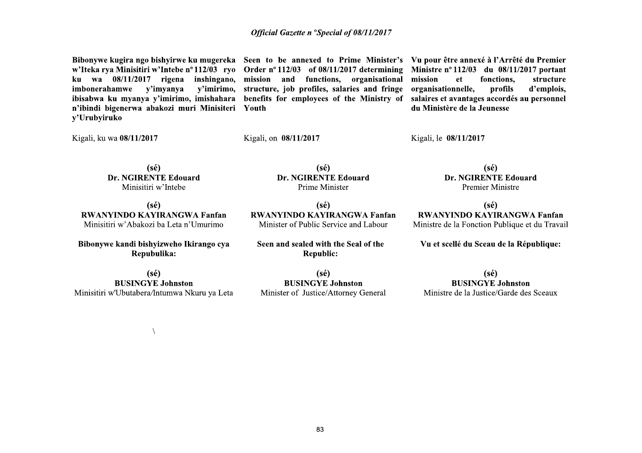w'Iteka rya Minisitiri w'Intebe nº 112/03 ryo ku wa 08/11/2017 rigena inshingano, mission and functions, organisational y'imyanya imbonerahamwe ibisabwa ku myanya y'imirimo, imishahara benefits for employees of the Ministry of n'ibindi bigenerwa abakozi muri Minisiteri Youth y'Urubyiruko

Order  $n^{\circ}$  112/03 of 08/11/2017 determining y'imirimo, structure, job profiles, salaries and fringe

Bibonywe kugira ngo bishyirwe ku mugereka Seen to be annexed to Prime Minister's Vu pour être annexé à l'Arrêté du Premier Ministre nº 112/03 du 08/11/2017 portant mission structure et fonctions. organisationnelle, profils d'emplois. salaires et avantages accordés au personnel du Ministère de la Jeunesse

Kigali, ku wa 08/11/2017

Kigali, on 08/11/2017

Kigali, le 08/11/2017

 $(s\acute{e})$ **Dr. NGIRENTE Edouard** Minisitiri w'Intebe

 $(s\acute{e})$ **Dr. NGIRENTE Edouard** Prime Minister

 $(s\acute{e})$ **RWANYINDO KAYIRANGWA Fanfan** Minisitiri w'Abakozi ba Leta n'Umurimo

Bibonywe kandi bishyizweho Ikirango cya Repubulika:

 $(s\acute{e})$ **BUSINGYE Johnston** Minisitiri w'Ubutabera/Intumwa Nkuru ya Leta

 $(sé)$ **RWANYINDO KAYIRANGWA Fanfan** Minister of Public Service and Labour

Seen and sealed with the Seal of the **Republic:** 

**RWANYINDO KAYIRANGWA Fanfan** Ministre de la Fonction Publique et du Travail

Vu et scellé du Sceau de la République:

 $(s\acute{e})$ 

**Dr. NGIRENTE Edouard** 

**Premier Ministre** 

 $(s\acute{e})$ 

 $(s\acute{e})$ **BUSINGYE Johnston** Minister of Justice/Attorney General

 $(s\acute{e})$ **BUSINGYE Johnston** Ministre de la Justice/Garde des Sceaux

 $\lambda$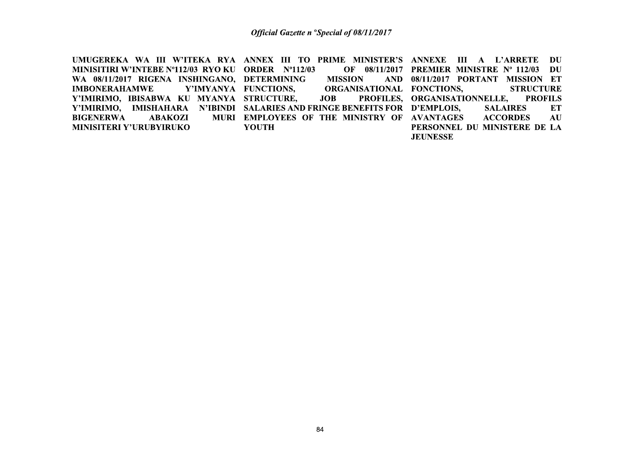UMUGEREKA WA III W'ITEKA RYA ANNEX III TO PRIME MINISTER'S ANNEXE III A L'ARRETE DU MINISITIRI W'INTEBE Nº112/03 RYO KU ORDER Nº112/03 OF 08/11/2017 PREMIER MINISTRE Nº 112/03 DU WA 08/11/2017 RIGENA INSHINGANO, DETERMINING **MISSION** AND 08/11/2017 PORTANT MISSION ET **IMBONERAHAMWE** Y'IMYANYA FUNCTIONS, ORGANISATIONAL FONCTIONS, **STRUCTURE** Y'IMIRIMO, IBISABWA KU MYANYA STRUCTURE, **JOB** PROFILES, ORGANISATIONNELLE, **PROFILS** Y'IMIRIMO, IMISHAHARA N'IBINDI SALARIES AND FRINGE BENEFITS FOR D'EMPLOIS, **SALAIRES** ET **BIGENERWA** MURI EMPLOYEES OF THE MINISTRY OF AVANTAGES **ACCORDES ABAKOZI** AU **MINISITERI Y'URUBYIRUKO** PERSONNEL DU MINISTERE DE LA **YOUTH JEUNESSE**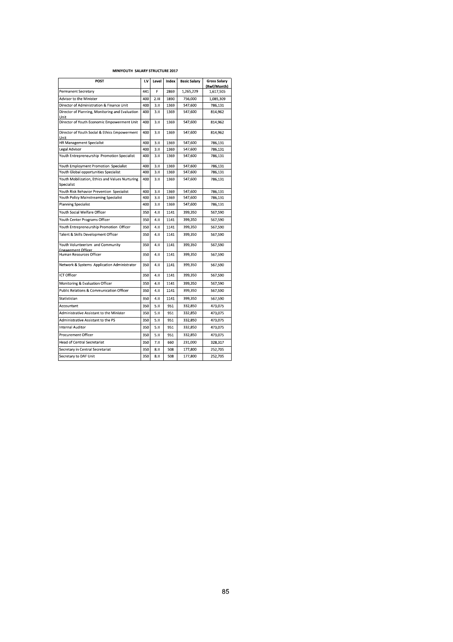### MINIYOUTH SALARY STRUCTURE 2017

| POST                                                          | I.V | Level | Index | <b>Basic Salary</b> | <b>Gross Salary</b><br>(Rwf/Month) |
|---------------------------------------------------------------|-----|-------|-------|---------------------|------------------------------------|
| Permanent Secretary                                           | 441 | F     | 2869  | 1,265,229           | 1,617,505                          |
| Advisor to the Minister                                       | 400 | 2.111 | 1890  | 756,000             | 1,085,309                          |
| Director of Administration & Finance Unit                     | 400 | 3.11  | 1369  | 547,600             | 786,131                            |
| Director of Planning, Monitoring and Evaluation<br>Unit       | 400 | 3.11  | 1369  | 547,600             | 814,962                            |
| Director of Youth Economic Empowerment Unit                   | 400 | 3.11  | 1369  | 547,600             | 814,962                            |
| Director of Youth Social & Ethics Empowerment<br>Unit         | 400 | 3.11  | 1369  | 547,600             | 814,962                            |
| <b>HR Management Specialist</b>                               | 400 | 3.11  | 1369  | 547,600             | 786,131                            |
| Legal Advisor                                                 | 400 | 3.11  | 1369  | 547,600             | 786,131                            |
| Youth Entrepreneurship Promotion Specialist                   | 400 | 3.11  | 1369  | 547,600             | 786.131                            |
| Youth Employment Promotion Specialist                         | 400 | 3.11  | 1369  | 547,600             | 786,131                            |
| Youth Global opportunities Specialist                         | 400 | 3.11  | 1369  | 547,600             | 786,131                            |
| Youth Mobilization, Ethics and Values Nurturing<br>Specialist | 400 | 3.11  | 1369  | 547,600             | 786,131                            |
| Youth Risk Behavior Prevention Specialist                     | 400 | 3.11  | 1369  | 547,600             | 786,131                            |
| Youth Policy Mainstreaming Specialist                         | 400 | 3.11  | 1369  | 547,600             | 786,131                            |
| <b>Planning Specialist</b>                                    | 400 | 3.11  | 1369  | 547,600             | 786,131                            |
| Youth Social Welfare Officer                                  | 350 | 4.11  | 1141  | 399,350             | 567,590                            |
| Youth Center Programs Officer                                 | 350 | 4.II  | 1141  | 399,350             | 567,590                            |
| Youth Entrepreneurship Promotion Officer                      | 350 | 4.11  | 1141  | 399,350             | 567,590                            |
| Talent & Skills Development Officer                           | 350 | 4.11  | 1141  | 399.350             | 567,590                            |
| Youth Volunteerism and Community<br><b>Engagement Officer</b> | 350 | 4.11  | 1141  | 399,350             | 567,590                            |
| Human Resources Officer                                       | 350 | 4.II  | 1141  | 399.350             | 567,590                            |
| Network & Systems Application Administrator                   | 350 | 4.11  | 1141  | 399,350             | 567,590                            |
| <b>ICT Officer</b>                                            | 350 | 4.11  | 1141  | 399,350             | 567,590                            |
| Monitoring & Evaluation Officer                               | 350 | 4.11  | 1141  | 399,350             | 567,590                            |
| <b>Public Relations &amp; Communication Officer</b>           | 350 | 4.11  | 1141  | 399.350             | 567,590                            |
| Statistician                                                  | 350 | 4.11  | 1141  | 399.350             | 567,590                            |
| Accountant                                                    | 350 | 5.11  | 951   | 332,850             | 473,075                            |
| Administrative Assistant to the Minister                      | 350 | 5.11  | 951   | 332,850             | 473,075                            |
| Administrative Assistant to the PS                            | 350 | 5.11  | 951   | 332,850             | 473.075                            |
| <b>Internal Auditor</b>                                       | 350 | 5.11  | 951   | 332,850             | 473,075                            |
| Procurement Officer                                           | 350 | 5.11  | 951   | 332,850             | 473,075                            |
| <b>Head of Central Secretariat</b>                            | 350 | 7.11  | 660   | 231,000             | 328,317                            |
| Secretary in Central Secretariat                              | 350 | 8.11  | 508   | 177,800             | 252,705                            |
| Secretary to DAF Unit                                         | 350 | 8.11  | 508   | 177,800             | 252,705                            |